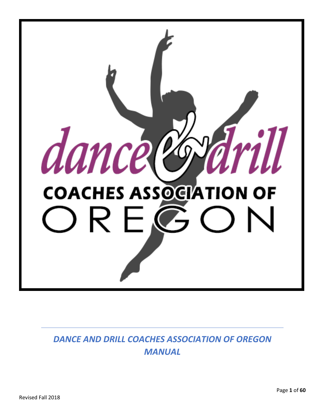

*DANCE AND DRILL COACHES ASSOCIATION OF OREGON MANUAL*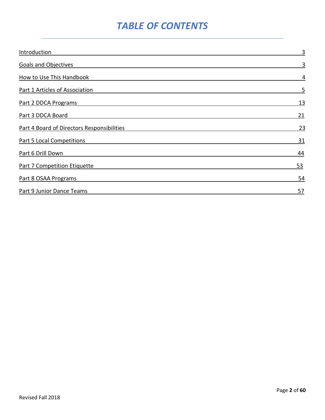# *TABLE OF CONTENTS*

| Introduction                               | 3         |
|--------------------------------------------|-----------|
| <b>Goals and Objectives</b>                | 3         |
| How to Use This Handbook                   | 4         |
| Part 1 Articles of Association             | 5         |
| Part 2 DDCA Programs                       | <u>13</u> |
| Part 3 DDCA Board                          | 21        |
| Part 4 Board of Directors Responsibilities | 23        |
| <b>Part 5 Local Competitions</b>           | <u>31</u> |
| Part 6 Drill Down                          | 44        |
| <b>Part 7 Competition Etiquette</b>        | <u>53</u> |
| Part 8 OSAA Programs                       | 54        |
| Part 9 Junior Dance Teams                  | 57        |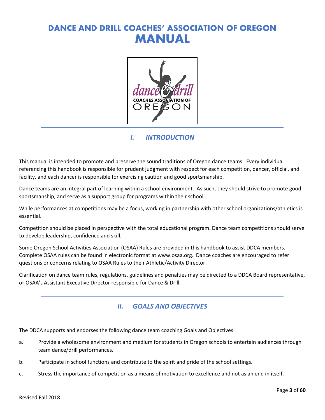# **DANCE AND DRILL COACHES' ASSOCIATION OF OREGON MANUAL**



# *I. INTRODUCTION*

This manual is intended to promote and preserve the sound traditions of Oregon dance teams. Every individual referencing this handbook is responsible for prudent judgment with respect for each competition, dancer, official, and facility, and each dancer is responsible for exercising caution and good sportsmanship.

Dance teams are an integral part of learning within a school environment. As such, they should strive to promote good sportsmanship, and serve as a support group for programs within their school.

While performances at competitions may be a focus, working in partnership with other school organizations/athletics is essential.

Competition should be placed in perspective with the total educational program. Dance team competitions should serve to develop leadership, confidence and skill.

Some Oregon School Activities Association (OSAA) Rules are provided in this handbook to assist DDCA members. Complete OSAA rules can be found in electronic format at www.osaa.org. Dance coaches are encouraged to refer questions or concerns relating to OSAA Rules to their Athletic/Activity Director.

Clarification on dance team rules, regulations, guidelines and penalties may be directed to a DDCA Board representative, or OSAA's Assistant Executive Director responsible for Dance & Drill.

# *II. GOALS AND OBJECTIVES*

The DDCA supports and endorses the following dance team coaching Goals and Objectives.

- a. Provide a wholesome environment and medium for students in Oregon schools to entertain audiences through team dance/drill performances.
- b. Participate in school functions and contribute to the spirit and pride of the school settings.
- c. Stress the importance of competition as a means of motivation to excellence and not as an end in itself.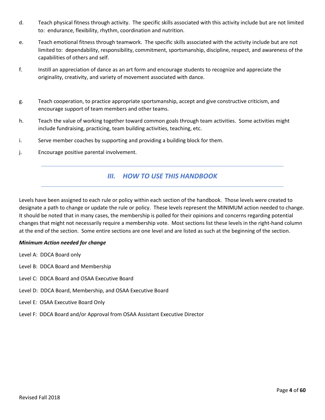- d. Teach physical fitness through activity. The specific skills associated with this activity include but are not limited to: endurance, flexibility, rhythm, coordination and nutrition.
- e. Teach emotional fitness through teamwork. The specific skills associated with the activity include but are not limited to: dependability, responsibility, commitment, sportsmanship, discipline, respect, and awareness of the capabilities of others and self.
- f. Instill an appreciation of dance as an art form and encourage students to recognize and appreciate the originality, creativity, and variety of movement associated with dance.
- g. Teach cooperation, to practice appropriate sportsmanship, accept and give constructive criticism, and encourage support of team members and other teams.
- h. Teach the value of working together toward common goals through team activities. Some activities might include fundraising, practicing, team building activities, teaching, etc.
- i. Serve member coaches by supporting and providing a building block for them.
- j. Encourage positive parental involvement.

## *III. HOW TO USE THIS HANDBOOK*

Levels have been assigned to each rule or policy within each section of the handbook. Those levels were created to designate a path to change or update the rule or policy. These levels represent the MINIMUM action needed to change. It should be noted that in many cases, the membership is polled for their opinions and concerns regarding potential changes that might not necessarily require a membership vote. Most sections list these levels in the right-hand column at the end of the section. Some entire sections are one level and are listed as such at the beginning of the section.

#### *Minimum Action needed for change*

- Level A: DDCA Board only
- Level B: DDCA Board and Membership
- Level C: DDCA Board and OSAA Executive Board
- Level D: DDCA Board, Membership, and OSAA Executive Board
- Level E: OSAA Executive Board Only
- Level F: DDCA Board and/or Approval from OSAA Assistant Executive Director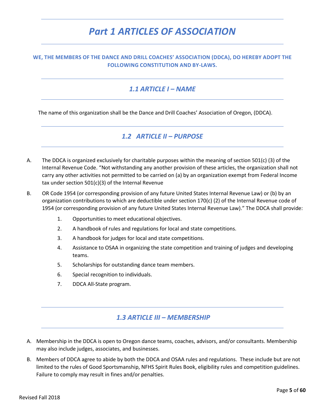# *Part 1 ARTICLES OF ASSOCIATION*

#### **WE, THE MEMBERS OF THE DANCE AND DRILL COACHES' ASSOCIATION (DDCA), DO HEREBY ADOPT THE FOLLOWING CONSTITUTION AND BY-LAWS.**

#### *1.1 ARTICLE I – NAME*

The name of this organization shall be the Dance and Drill Coaches' Association of Oregon, (DDCA).

## *1.2 ARTICLE II – PURPOSE*

- A. The DDCA is organized exclusively for charitable purposes within the meaning of section 501(c) (3) of the Internal Revenue Code. "Not withstanding any another provision of these articles, the organization shall not carry any other activities not permitted to be carried on (a) by an organization exempt from Federal Income tax under section 501(c)(3) of the Internal Revenue
- B. OR Code 1954 (or corresponding provision of any future United States Internal Revenue Law) or (b) by an organization contributions to which are deductible under section 170(c) (2) of the Internal Revenue code of 1954 (or corresponding provision of any future United States Internal Revenue Law)." The DDCA shall provide:
	- 1. Opportunities to meet educational objectives.
	- 2. A handbook of rules and regulations for local and state competitions.
	- 3. A handbook for judges for local and state competitions.
	- 4. Assistance to OSAA in organizing the state competition and training of judges and developing teams.
	- 5. Scholarships for outstanding dance team members.
	- 6. Special recognition to individuals.
	- 7. DDCA All-State program.

## *1.3 ARTICLE III – MEMBERSHIP*

- A. Membership in the DDCA is open to Oregon dance teams, coaches, advisors, and/or consultants. Membership may also include judges, associates, and businesses.
- B. Members of DDCA agree to abide by both the DDCA and OSAA rules and regulations. These include but are not limited to the rules of Good Sportsmanship, NFHS Spirit Rules Book, eligibility rules and competition guidelines. Failure to comply may result in fines and/or penalties.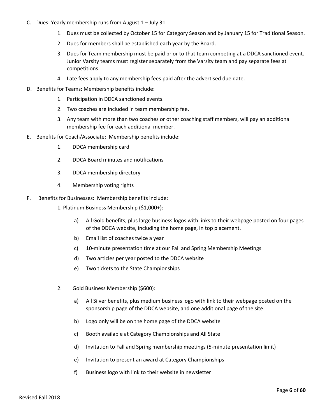- C. Dues: Yearly membership runs from August 1 July 31
	- 1. Dues must be collected by October 15 for Category Season and by January 15 for Traditional Season.
	- 2. Dues for members shall be established each year by the Board.
	- 3. Dues for Team membership must be paid prior to that team competing at a DDCA sanctioned event. Junior Varsity teams must register separately from the Varsity team and pay separate fees at competitions.
	- 4. Late fees apply to any membership fees paid after the advertised due date.
- D. Benefits for Teams: Membership benefits include:
	- 1. Participation in DDCA sanctioned events.
	- 2. Two coaches are included in team membership fee.
	- 3. Any team with more than two coaches or other coaching staff members, will pay an additional membership fee for each additional member.
- E. Benefits for Coach/Associate: Membership benefits include:
	- 1. DDCA membership card
	- 2. DDCA Board minutes and notifications
	- 3. DDCA membership directory
	- 4. Membership voting rights
- F. Benefits for Businesses: Membership benefits include:
	- 1. Platinum Business Membership (\$1,000+):
		- a) All Gold benefits, plus large business logos with links to their webpage posted on four pages of the DDCA website, including the home page, in top placement.
		- b) Email list of coaches twice a year
		- c) 10-minute presentation time at our Fall and Spring Membership Meetings
		- d) Two articles per year posted to the DDCA website
		- e) Two tickets to the State Championships
	- 2. Gold Business Membership (\$600):
		- a) All Silver benefits, plus medium business logo with link to their webpage posted on the sponsorship page of the DDCA website, and one additional page of the site.
		- b) Logo only will be on the home page of the DDCA website
		- c) Booth available at Category Championships and All State
		- d) Invitation to Fall and Spring membership meetings (5-minute presentation limit)
		- e) Invitation to present an award at Category Championships
		- f) Business logo with link to their website in newsletter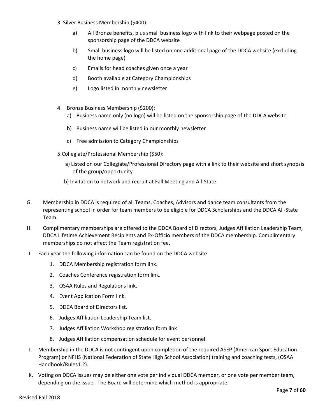- 3. Silver Business Membership (\$400):
	- a) All Bronze benefits, plus small business logo with link to their webpage posted on the sponsorship page of the DDCA website
	- b) Small business logo will be listed on one additional page of the DDCA website (excluding the home page)
	- c) Emails for head coaches given once a year
	- d) Booth available at Category Championships
	- e) Logo listed in monthly newsletter
- 4. Bronze Business Membership (\$200):
	- a) Business name only (no logo) will be listed on the sponsorship page of the DDCA website.
	- b) Business name will be listed in our monthly newsletter
	- c) Free admission to Category Championships
- 5.Collegiate/Professional Membership (\$50):
	- a) Listed on our Collegiate/Professional Directory page with a link to their website and short synopsis of the group/opportunity
	- b) Invitation to network and recruit at Fall Meeting and All-State
- G. Membership in DDCA is required of all Teams, Coaches, Advisors and dance team consultants from the representing school in order for team members to be eligible for DDCA Scholarships and the DDCA All-State Team.
- H. Complimentary memberships are offered to the DDCA Board of Directors, Judges Affiliation Leadership Team, DDCA Lifetime Achievement Recipients and Ex-Officio members of the DDCA membership. Complimentary memberships do not affect the Team registration fee.
- I. Each year the following information can be found on the DDCA website:
	- 1. DDCA Membership registration form link.
	- 2. Coaches Conference registration form link.
	- 3. OSAA Rules and Regulations link.
	- 4. Event Application Form link.
	- 5. DDCA Board of Directors list.
	- 6. Judges Affiliation Leadership Team list.
	- 7. Judges Affiliation Workshop registration form link
	- 8. Judges Affiliation compensation schedule for event personnel.
- J. Membership in the DDCA is not contingent upon completion of the required ASEP (American Sport Education Program) or NFHS (National Federation of State High School Association) training and coaching tests, (OSAA Handbook/Rules1.2).
- K. Voting on DDCA issues may be either one vote per individual DDCA member, or one vote per member team, depending on the issue. The Board will determine which method is appropriate.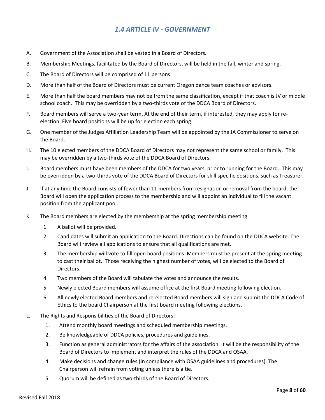# *1.4 ARTICLE IV - GOVERNMENT*

- A. Government of the Association shall be vested in a Board of Directors.
- B. Membership Meetings, facilitated by the Board of Directors, will be held in the fall, winter and spring.
- C. The Board of Directors will be comprised of 11 persons.
- D. More than half of the Board of Directors must be current Oregon dance team coaches or advisors.
- E. More than half the board members may not be from the same classification, except if that coach is JV or middle school coach. This may be overridden by a two-thirds vote of the DDCA Board of Directors.
- F. Board members will serve a two-year term. At the end of their term, if interested, they may apply for reelection. Five board positions will be up for election each spring.
- G. One member of the Judges Affiliation Leadership Team will be appointed by the JA Commissioner to serve on the Board.
- H. The 10 elected members of the DDCA Board of Directors may not represent the same school or family. This may be overridden by a two-thirds vote of the DDCA Board of Directors.
- I. Board members must have been members of the DDCA for two years, prior to running for the Board. This may be overridden by a two-thirds vote of the DDCA Board of Directors for skill specific positions, such as Treasurer.
- J. If at any time the Board consists of fewer than 11 members from resignation or removal from the board, the Board will open the application process to the membership and will appoint an individual to fill the vacant position from the applicant pool.
- K. The Board members are elected by the membership at the spring membership meeting.
	- 1. A ballot will be provided.
	- 2. Candidates will submit an application to the Board. Directions can be found on the DDCA website. The Board will review all applications to ensure that all qualifications are met.
	- 3. The membership will vote to fill open board positions. Members must be present at the spring meeting to cast their ballot. Those receiving the highest number of votes, will be elected to the Board of Directors.
	- 4. Two members of the Board will tabulate the votes and announce the results.
	- 5. Newly elected Board members will assume office at the first Board meeting following election.
	- 6. All newly elected Board members and re-elected Board members will sign and submit the DDCA Code of Ethics to the board Chairperson at the first board meeting following elections.
- L. The Rights and Responsibilities of the Board of Directors:
	- 1. Attend monthly board meetings and scheduled membership meetings.
	- 2. Be knowledgeable of DDCA policies, procedures and guidelines.
	- 3. Function as general administrators for the affairs of the association. It will be the responsibility of the Board of Directors to implement and interpret the rules of the DDCA and OSAA.
	- 4. Make decisions and change rules (in compliance with OSAA guidelines and procedures). The Chairperson will refrain from voting unless there is a tie.
	- 5. Quorum will be defined as two-thirds of the Board of Directors.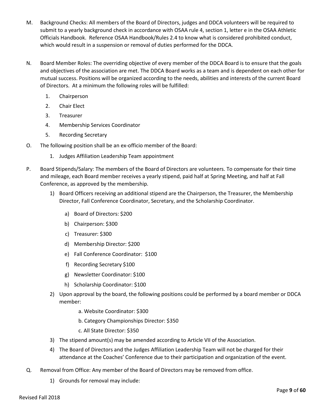- M. Background Checks: All members of the Board of Directors, judges and DDCA volunteers will be required to submit to a yearly background check in accordance with OSAA rule 4, section 1, letter e in the OSAA Athletic Officials Handbook.Reference OSAA Handbook/Rules 2.4 to know what is considered prohibited conduct, which would result in a suspension or removal of duties performed for the DDCA.
- N. Board Member Roles: The overriding objective of every member of the DDCA Board is to ensure that the goals and objectives of the association are met. The DDCA Board works as a team and is dependent on each other for mutual success. Positions will be organized according to the needs, abilities and interests of the current Board of Directors. At a minimum the following roles will be fulfilled:
	- 1. Chairperson
	- 2. Chair Elect
	- 3. Treasurer
	- 4. Membership Services Coordinator
	- 5. Recording Secretary
- O. The following position shall be an ex-officio member of the Board:
	- 1. Judges Affiliation Leadership Team appointment
- P. Board Stipends/Salary: The members of the Board of Directors are volunteers. To compensate for their time and mileage, each Board member receives a yearly stipend, paid half at Spring Meeting, and half at Fall Conference, as approved by the membership.
	- 1) Board Officers receiving an additional stipend are the Chairperson, the Treasurer, the Membership Director, Fall Conference Coordinator, Secretary, and the Scholarship Coordinator.
		- a) Board of Directors: \$200
		- b) Chairperson: \$300
		- c) Treasurer: \$300
		- d) Membership Director: \$200
		- e) Fall Conference Coordinator: \$100
		- f) Recording Secretary \$100
		- g) Newsletter Coordinator: \$100
		- h) Scholarship Coordinator: \$100
	- 2) Upon approval by the board, the following positions could be performed by a board member or DDCA member:
		- a. Website Coordinator: \$300
		- b. Category Championships Director: \$350
		- c. All State Director: \$350
	- 3) The stipend amount(s) may be amended according to Article VII of the Association.
	- 4) The Board of Directors and the Judges Affiliation Leadership Team will not be charged for their attendance at the Coaches' Conference due to their participation and organization of the event.
- Q. Removal from Office: Any member of the Board of Directors may be removed from office.
	- 1) Grounds for removal may include: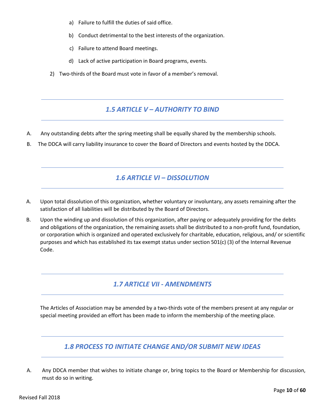- a) Failure to fulfill the duties of said office.
- b) Conduct detrimental to the best interests of the organization.
- c) Failure to attend Board meetings.
- d) Lack of active participation in Board programs, events.
- 2) Two-thirds of the Board must vote in favor of a member's removal.

#### *1.5 ARTICLE V – AUTHORITY TO BIND*

- A. Any outstanding debts after the spring meeting shall be equally shared by the membership schools.
- B. The DDCA will carry liability insurance to cover the Board of Directors and events hosted by the DDCA.

#### *1.6 ARTICLE VI – DISSOLUTION*

- A. Upon total dissolution of this organization, whether voluntary or involuntary, any assets remaining after the satisfaction of all liabilities will be distributed by the Board of Directors.
- B. Upon the winding up and dissolution of this organization, after paying or adequately providing for the debts and obligations of the organization, the remaining assets shall be distributed to a non-profit fund, foundation, or corporation which is organized and operated exclusively for charitable, education, religious, and/ or scientific purposes and which has established its tax exempt status under section 501(c) (3) of the Internal Revenue Code.

#### *1.7 ARTICLE VII - AMENDMENTS*

The Articles of Association may be amended by a two-thirds vote of the members present at any regular or special meeting provided an effort has been made to inform the membership of the meeting place.

## *1.8 PROCESS TO INITIATE CHANGE AND/OR SUBMIT NEW IDEAS*

A. Any DDCA member that wishes to initiate change or, bring topics to the Board or Membership for discussion, must do so in writing.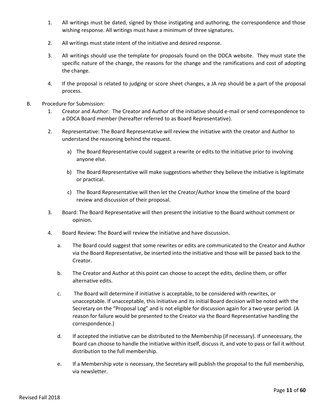- 1. All writings must be dated, signed by those instigating and authoring, the correspondence and those wishing response. All writings must have a minimum of three signatures.
- 2. All writings must state intent of the initiative and desired response.
- 3. All writings should use the template for proposals found on the DDCA website. They must state the specific nature of the change, the reasons for the change and the ramifications and cost of adopting the change.
- 4. If the proposal is related to judging or score sheet changes, a JA rep should be a part of the proposal process.
- B. Procedure for Submission:
	- 1. Creator and Author: The Creator and Author of the initiative should e-mail or send correspondence to a DDCA Board member (hereafter referred to as Board Representative).
	- 2. Representative: The Board Representative will review the initiative with the creator and Author to understand the reasoning behind the request.
		- a) The Board Representative could suggest a rewrite or edits to the initiative prior to involving anyone else.
		- b) The Board Representative will make suggestions whether they believe the initiative is legitimate or practical.
		- c) The Board Representative will then let the Creator/Author know the timeline of the board review and discussion of their proposal.
	- 3. Board: The Board Representative will then present the initiative to the Board without comment or opinion.
	- 4. Board Review: The Board will review the initiative and have discussion.
		- a. The Board could suggest that some rewrites or edits are communicated to the Creator and Author via the Board Representative, be inserted into the initiative and those will be passed back to the Creator.
		- b. The Creator and Author at this point can choose to accept the edits, decline them, or offer alternative edits.
		- c. The Board will determine if initiative is acceptable, to be considered with rewrites, or unacceptable. If unacceptable, this initiative and its initial Board decision will be noted with the Secretary on the "Proposal Log" and is not eligible for discussion again for a two-year period. (A reason for failure would be presented to the Creator via the Board Representative handling the correspondence.)
		- d. If accepted the initiative can be distributed to the Membership (if necessary). If unnecessary, the Board can choose to handle the initiative within itself, discuss it, and vote to pass or fail it without distribution to the full membership.
		- e. If a Membership vote is necessary, the Secretary will publish the proposal to the full membership, via newsletter.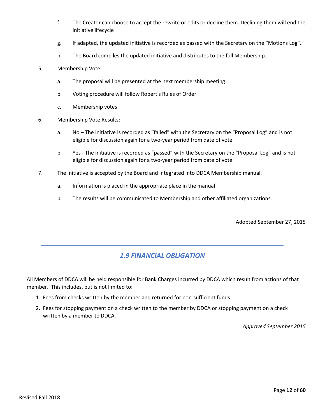- f. The Creator can choose to accept the rewrite or edits or decline them. Declining them will end the initiative lifecycle
- g. If adapted, the updated initiative is recorded as passed with the Secretary on the "Motions Log".
- h. The Board compiles the updated initiative and distributes to the full Membership.
- 5. Membership Vote
	- a. The proposal will be presented at the next membership meeting.
	- b. Voting procedure will follow Robert's Rules of Order.
	- c. Membership votes
- 6. Membership Vote Results:
	- a. No The initiative is recorded as "failed" with the Secretary on the "Proposal Log" and is not eligible for discussion again for a two-year period from date of vote.
	- b. Yes The initiative is recorded as "passed" with the Secretary on the "Proposal Log" and is not eligible for discussion again for a two-year period from date of vote.
- 7. The initiative is accepted by the Board and integrated into DDCA Membership manual.
	- a. Information is placed in the appropriate place in the manual
	- b. The results will be communicated to Membership and other affiliated organizations.

Adopted September 27, 2015

## *1.9 FINANCIAL OBLIGATION*

All Members of DDCA will be held responsible for Bank Charges incurred by DDCA which result from actions of that member. This includes, but is not limited to:

- 1. Fees from checks written by the member and returned for non-sufficient funds
- 2. Fees for stopping payment on a check written to the member by DDCA or stopping payment on a check written by a member to DDCA.

*Approved September 2015*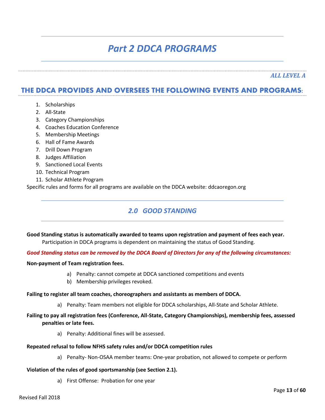# *Part 2 DDCA PROGRAMS*

*ALL LEVEL A*

## **THE DDCA PROVIDES AND OVERSEES THE FOLLOWING EVENTS AND PROGRAMS:**

- 1. Scholarships
- 2. All-State
- 3. Category Championships
- 4. Coaches Education Conference
- 5. Membership Meetings
- 6. Hall of Fame Awards
- 7. Drill Down Program
- 8. Judges Affiliation
- 9. Sanctioned Local Events
- 10. Technical Program
- 11. Scholar Athlete Program

Specific rules and forms for all programs are available on the DDCA website: ddcaoregon.org

# *2.0 GOOD STANDING*

**Good Standing status is automatically awarded to teams upon registration and payment of fees each year.** Participation in DDCA programs is dependent on maintaining the status of Good Standing.

#### *Good Standing status can be removed by the DDCA Board of Directors for any of the following circumstances:*

#### **Non-payment of Team registration fees.**

- a) Penalty: cannot compete at DDCA sanctioned competitions and events
- b) Membership privileges revoked.

#### **Failing to register all team coaches, choreographers and assistants as members of DDCA.**

a) Penalty: Team members not eligible for DDCA scholarships, All-State and Scholar Athlete.

#### **Failing to pay all registration fees (Conference, All-State, Category Championships), membership fees, assessed penalties or late fees.**

a) Penalty: Additional fines will be assessed.

#### **Repeated refusal to follow NFHS safety rules and/or DDCA competition rules**

a) Penalty- Non-OSAA member teams: One-year probation, not allowed to compete or perform

#### **Violation of the rules of good sportsmanship (see Section 2.1).**

a) First Offense: Probation for one year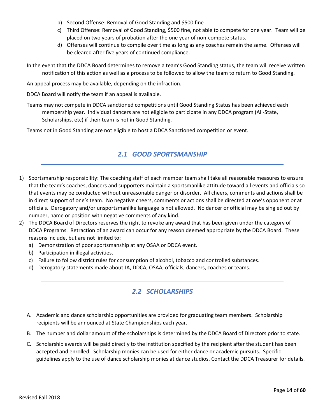- b) Second Offense: Removal of Good Standing and \$500 fine
- c) Third Offense: Removal of Good Standing, \$500 fine, not able to compete for one year. Team will be placed on two years of probation after the one year of non-compete status.
- d) Offenses will continue to compile over time as long as any coaches remain the same. Offenses will be cleared after five years of continued compliance.
- In the event that the DDCA Board determines to remove a team's Good Standing status, the team will receive written notification of this action as well as a process to be followed to allow the team to return to Good Standing.

An appeal process may be available, depending on the infraction.

DDCA Board will notify the team if an appeal is available.

Teams may not compete in DDCA sanctioned competitions until Good Standing Status has been achieved each membership year. Individual dancers are not eligible to participate in any DDCA program (All-State, Scholarships, etc) if their team is not in Good Standing.

Teams not in Good Standing are not eligible to host a DDCA Sanctioned competition or event.

# *2.1 GOOD SPORTSMANSHIP*

- 1) Sportsmanship responsibility: The coaching staff of each member team shall take all reasonable measures to ensure that the team's coaches, dancers and supporters maintain a sportsmanlike attitude toward all events and officials so that events may be conducted without unreasonable danger or disorder. All cheers, comments and actions shall be in direct support of one's team. No negative cheers, comments or actions shall be directed at one's opponent or at officials. Derogatory and/or unsportsmanlike language is not allowed. No dancer or official may be singled out by number, name or position with negative comments of any kind.
- 2) The DDCA Board of Directors reserves the right to revoke any award that has been given under the category of DDCA Programs. Retraction of an award can occur for any reason deemed appropriate by the DDCA Board. These reasons include, but are not limited to:
	- a) Demonstration of poor sportsmanship at any OSAA or DDCA event.
	- b) Participation in illegal activities.
	- c) Failure to follow district rules for consumption of alcohol, tobacco and controlled substances.
	- d) Derogatory statements made about JA, DDCA, OSAA, officials, dancers, coaches or teams.

# *2.2 SCHOLARSHIPS*

- A. Academic and dance scholarship opportunities are provided for graduating team members. Scholarship recipients will be announced at State Championships each year.
- B. The number and dollar amount of the scholarships is determined by the DDCA Board of Directors prior to state.
- C. Scholarship awards will be paid directly to the institution specified by the recipient after the student has been accepted and enrolled. Scholarship monies can be used for either dance or academic pursuits. Specific guidelines apply to the use of dance scholarship monies at dance studios. Contact the DDCA Treasurer for details.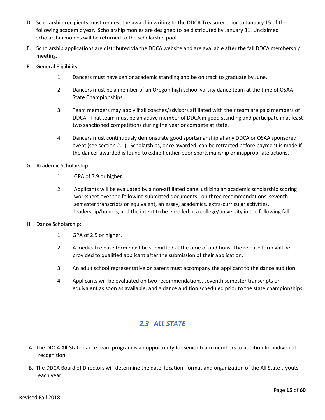- D. Scholarship recipients must request the award in writing to the DDCA Treasurer prior to January 15 of the following academic year. Scholarship monies are designed to be distributed by January 31. Unclaimed scholarship monies will be returned to the scholarship pool.
- E. Scholarship applications are distributed via the DDCA website and are available after the fall DDCA membership meeting.
- F. General Eligibility
	- 1. Dancers must have senior academic standing and be on track to graduate by June.
	- 2. Dancers must be a member of an Oregon high school varsity dance team at the time of OSAA State Championships.
	- 3. Team members may apply if all coaches/advisors affiliated with their team are paid members of DDCA. That team must be an active member of DDCA in good standing and participate in at least two sanctioned competitions during the year or compete at state.
	- 4. Dancers must continuously demonstrate good sportsmanship at any DDCA or OSAA sponsored event (see section 2.1). Scholarships, once awarded, can be retracted before payment is made if the dancer awarded is found to exhibit either poor sportsmanship or inappropriate actions.
- G. Academic Scholarship:
	- 1. GPA of 3.9 or higher.
	- 2. Applicants will be evaluated by a non-affiliated panel utilizing an academic scholarship scoring worksheet over the following submitted documents: on three recommendations, seventh semester transcripts or equivalent, an essay, academics, extra-curricular activities, leadership/honors, and the intent to be enrolled in a college/university in the following fall.
- H. Dance Scholarship:
	- 1. GPA of 2.5 or higher.
	- 2. A medical release form must be submitted at the time of auditions. The release form will be provided to qualified applicant after the submission of their application.
	- 3. An adult school representative or parent must accompany the applicant to the dance audition.
	- 4. Applicants will be evaluated on two recommendations, seventh semester transcripts or equivalent as soon as available, and a dance audition scheduled prior to the state championships.

## *2.3 ALL STATE*

- A. The DDCA All-State dance team program is an opportunity for senior team members to audition for individual recognition.
- B. The DDCA Board of Directors will determine the date, location, format and organization of the All State tryouts each year.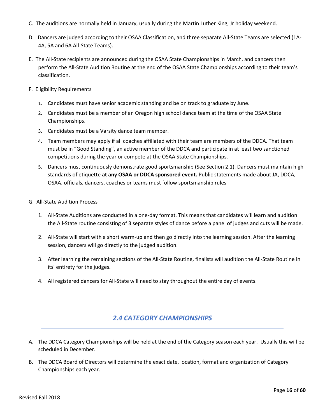- C. The auditions are normally held in January, usually during the Martin Luther King, Jr holiday weekend.
- D. Dancers are judged according to their OSAA Classification, and three separate All-State Teams are selected (1A-4A, 5A and 6A All-State Teams).
- E. The All-State recipients are announced during the OSAA State Championships in March, and dancers then perform the All-State Audition Routine at the end of the OSAA State Championships according to their team's classification.
- F. Eligibility Requirements
	- 1. Candidates must have senior academic standing and be on track to graduate by June.
	- 2. Candidates must be a member of an Oregon high school dance team at the time of the OSAA State Championships.
	- 3. Candidates must be a Varsity dance team member.
	- 4. Team members may apply if all coaches affiliated with their team are members of the DDCA. That team must be in "Good Standing", an active member of the DDCA and participate in at least two sanctioned competitions during the year or compete at the OSAA State Championships.
	- 5. Dancers must continuously demonstrate good sportsmanship (See Section 2.1). Dancers must maintain high standards of etiquette **at any OSAA or DDCA sponsored event.** Public statements made about JA, DDCA, OSAA, officials, dancers, coaches or teams must follow sportsmanship rules
- G. All-State Audition Process
	- 1. All-State Auditions are conducted in a one-day format. This means that candidates will learn and audition the All-State routine consisting of 3 separate styles of dance before a panel of judges and cuts will be made.
	- 2. All-State will start with a short warm-up-and then go directly into the learning session. After the learning session, dancers will go directly to the judged audition.
	- 3. After learning the remaining sections of the All-State Routine, finalists will audition the All-State Routine in its' entirety for the judges.
	- 4. All registered dancers for All-State will need to stay throughout the entire day of events.

# *2.4 CATEGORY CHAMPIONSHIPS*

- A. The DDCA Category Championships will be held at the end of the Category season each year. Usually this will be scheduled in December.
- B. The DDCA Board of Directors will determine the exact date, location, format and organization of Category Championships each year.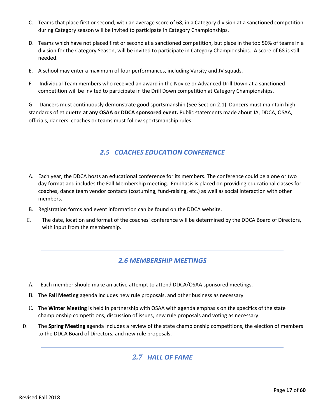- C. Teams that place first or second, with an average score of 68, in a Category division at a sanctioned competition during Category season will be invited to participate in Category Championships.
- D. Teams which have not placed first or second at a sanctioned competition, but place in the top 50% of teams in a division for the Category Season, will be invited to participate in Category Championships. A score of 68 is still needed.
- E. A school may enter a maximum of four performances, including Varsity and JV squads.
- F. Individual Team members who received an award in the Novice or Advanced Drill Down at a sanctioned competition will be invited to participate in the Drill Down competition at Category Championships.

G. Dancers must continuously demonstrate good sportsmanship (See Section 2.1). Dancers must maintain high standards of etiquette **at any OSAA or DDCA sponsored event.** Public statements made about JA, DDCA, OSAA, officials, dancers, coaches or teams must follow sportsmanship rules

# *2.5 COACHES EDUCATION CONFERENCE*

- A. Each year, the DDCA hosts an educational conference for its members. The conference could be a one or two day format and includes the Fall Membership meeting. Emphasis is placed on providing educational classes for coaches, dance team vendor contacts (costuming, fund-raising, etc.) as well as social interaction with other members.
- B. Registration forms and event information can be found on the DDCA website.
- C. The date, location and format of the coaches' conference will be determined by the DDCA Board of Directors, with input from the membership.

# *2.6 MEMBERSHIP MEETINGS*

- A. Each member should make an active attempt to attend DDCA/OSAA sponsored meetings.
- B. The **Fall Meeting** agenda includes new rule proposals, and other business as necessary.
- C. The **Winter Meeting** is held in partnership with OSAA with agenda emphasis on the specifics of the state championship competitions, discussion of issues, new rule proposals and voting as necessary.
- D. The **Spring Meeting** agenda includes a review of the state championship competitions, the election of members to the DDCA Board of Directors, and new rule proposals.

# *2.7 HALL OF FAME*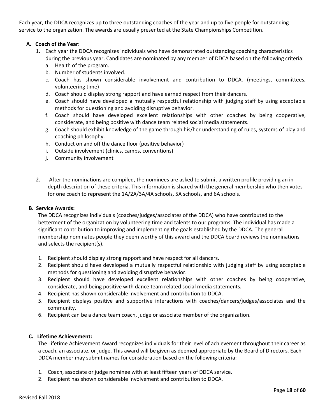Each year, the DDCA recognizes up to three outstanding coaches of the year and up to five people for outstanding service to the organization. The awards are usually presented at the State Championships Competition.

#### **A. Coach of the Year:**

- 1. Each year the DDCA recognizes individuals who have demonstrated outstanding coaching characteristics during the previous year. Candidates are nominated by any member of DDCA based on the following criteria:
	- a. Health of the program.
	- b. Number of students involved.
	- c. Coach has shown considerable involvement and contribution to DDCA. (meetings, committees, volunteering time)
	- d. Coach should display strong rapport and have earned respect from their dancers.
	- e. Coach should have developed a mutually respectful relationship with judging staff by using acceptable methods for questioning and avoiding disruptive behavior.
	- f. Coach should have developed excellent relationships with other coaches by being cooperative, considerate, and being positive with dance team related social media statements.
	- g. Coach should exhibit knowledge of the game through his/her understanding of rules, systems of play and coaching philosophy.
	- h. Conduct on and off the dance floor (positive behavior)
	- i. Outside involvement (clinics, camps, conventions)
	- j. Community involvement
- 2. After the nominations are compiled, the nominees are asked to submit a written profile providing an indepth description of these criteria. This information is shared with the general membership who then votes for one coach to represent the 1A/2A/3A/4A schools, 5A schools, and 6A schools.

#### **B. Service Awards:**

The DDCA recognizes individuals (coaches/judges/associates of the DDCA) who have contributed to the betterment of the organization by volunteering time and talents to our programs. The individual has made a significant contribution to improving and implementing the goals established by the DDCA. The general membership nominates people they deem worthy of this award and the DDCA board reviews the nominations and selects the recipient(s).

- 1. Recipient should display strong rapport and have respect for all dancers.
- 2. Recipient should have developed a mutually respectful relationship with judging staff by using acceptable methods for questioning and avoiding disruptive behavior.
- 3. Recipient should have developed excellent relationships with other coaches by being cooperative, considerate, and being positive with dance team related social media statements.
- 4. Recipient has shown considerable involvement and contribution to DDCA.
- 5. Recipient displays positive and supportive interactions with coaches/dancers/judges/associates and the community.
- 6. Recipient can be a dance team coach, judge or associate member of the organization.

#### **C. Lifetime Achievement:**

The Lifetime Achievement Award recognizes individuals for their level of achievement throughout their career as a coach, an associate, or judge. This award will be given as deemed appropriate by the Board of Directors. Each DDCA member may submit names for consideration based on the following criteria:

- 1. Coach, associate or judge nominee with at least fifteen years of DDCA service.
- 2. Recipient has shown considerable involvement and contribution to DDCA.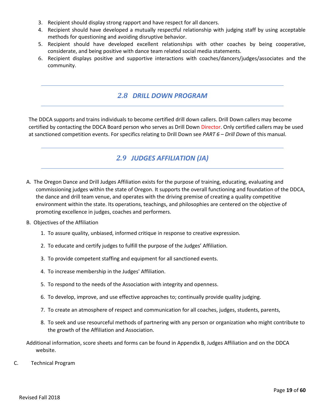- 3. Recipient should display strong rapport and have respect for all dancers.
- 4. Recipient should have developed a mutually respectful relationship with judging staff by using acceptable methods for questioning and avoiding disruptive behavior.
- 5. Recipient should have developed excellent relationships with other coaches by being cooperative, considerate, and being positive with dance team related social media statements.
- 6. Recipient displays positive and supportive interactions with coaches/dancers/judges/associates and the community.

## *2.8 DRILL DOWN PROGRAM*

The DDCA supports and trains individuals to become certified drill down callers. Drill Down callers may become certified by contacting the DDCA Board person who serves as Drill Down Director. Only certified callers may be used at sanctioned competition events. For specifics relating to Drill Down see *PART 6 – Drill Down* of this manual.

# *2.9 JUDGES AFFILIATION (JA)*

- A. The Oregon Dance and Drill Judges Affiliation exists for the purpose of training, educating, evaluating and commissioning judges within the state of Oregon. It supports the overall functioning and foundation of the DDCA, the dance and drill team venue, and operates with the driving premise of creating a quality competitive environment within the state. Its operations, teachings, and philosophies are centered on the objective of promoting excellence in judges, coaches and performers.
- B. Objectives of the Affiliation
	- 1. To assure quality, unbiased, informed critique in response to creative expression.
	- 2. To educate and certify judges to fulfill the purpose of the Judges' Affiliation.
	- 3. To provide competent staffing and equipment for all sanctioned events.
	- 4. To increase membership in the Judges' Affiliation.
	- 5. To respond to the needs of the Association with integrity and openness.
	- 6. To develop, improve, and use effective approaches to; continually provide quality judging.
	- 7. To create an atmosphere of respect and communication for all coaches, judges, students, parents,
	- 8. To seek and use resourceful methods of partnering with any person or organization who might contribute to the growth of the Affiliation and Association.

Additional information, score sheets and forms can be found in Appendix B, Judges Affiliation and on the DDCA website.

C. Technical Program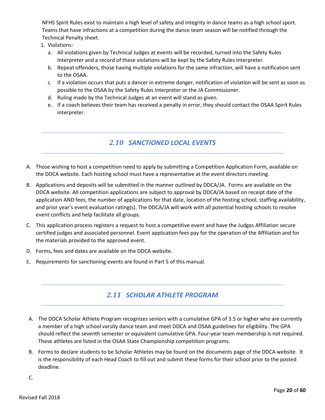NFHS Spirit Rules exist to maintain a high level of safety and integrity in dance teams as a high school sport. Teams that have infractions at a competition during the dance team season will be notified through the Technical Penalty sheet.

- 1. Violations:
	- a. All violations given by Technical Judges at events will be recorded, turned into the Safety Rules Interpreter and a record of these violations will be kept by the Safety Rules Interpreter.
	- b. Repeat offenders, those having multiple violations for the same infraction, will have a notification sent to the OSAA.
	- c. If a violation occurs that puts a dancer in extreme danger, notification of violation will be sent as soon as possible to the OSAA by the Safety Rules Interpreter or the JA Commissioner.
	- d. Ruling made by the Technical Judges at an event will stand as given.
	- e. If a coach believes their team has received a penalty in error, they should contact the OSAA Spirit Rules interpreter.

# *2.10 SANCTIONED LOCAL EVENTS*

- A. Those wishing to host a competition need to apply by submitting a Competition Application Form, available on the DDCA website. Each hosting school must have a representative at the event directors meeting.
- B. Applications and deposits will be submitted in the manner outlined by DDCA/JA. Forms are available on the DDCA website. All competition applications are subject to approval by DDCA/JA based on receipt date of the application AND fees, the number of applications for that date, location of the hosting school, staffing availability, and prior year's event evaluation rating(s). The DDCA/JA will work with all potential hosting schools to resolve event conflicts and help facilitate all groups.
- C. This application process registers a request to host a competitive event and have the Judges Affiliation secure certified judges and associated personnel. Event application fees pay for the operation of the Affiliation and for the materials provided to the approved event.
- D. Forms, fees and dates are available on the DDCA website.
- E. Requirements for sanctioning events are found in Part 5 of this manual.

# *2.11 SCHOLAR ATHLETE PROGRAM*

- A. The DDCA Scholar Athlete Program recognizes seniors with a cumulative GPA of 3.5 or higher who are currently a member of a high school varsity dance team and meet DDCA and OSAA guidelines for eligibility. The GPA should reflect the seventh semester or equivalent cumulative GPA. Four-year team membership is not required. These athletes are listed in the OSAA State Championship competition programs.
- B. Forms to declare students to be Scholar Athletes may be found on the documents page of the DDCA website. It is the responsibility of each Head Coach to fill out and submit these forms for their school prior to the posted deadline.
- C.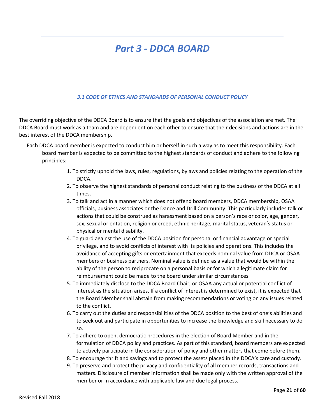# *Part 3 - DDCA BOARD*

#### *3.1 CODE OF ETHICS AND STANDARDS OF PERSONAL CONDUCT POLICY*

The overriding objective of the DDCA Board is to ensure that the goals and objectives of the association are met. The DDCA Board must work as a team and are dependent on each other to ensure that their decisions and actions are in the best interest of the DDCA membership.

- Each DDCA board member is expected to conduct him or herself in such a way as to meet this responsibility. Each board member is expected to be committed to the highest standards of conduct and adhere to the following principles:
	- 1. To strictly uphold the laws, rules, regulations, bylaws and policies relating to the operation of the DDCA.
	- 2. To observe the highest standards of personal conduct relating to the business of the DDCA at all times.
	- 3. To talk and act in a manner which does not offend board members, DDCA membership, OSAA officials, business associates or the Dance and Drill Community. This particularly includes talk or actions that could be construed as harassment based on a person's race or color, age, gender, sex, sexual orientation, religion or creed, ethnic heritage, marital status, veteran's status or physical or mental disability.
	- 4. To guard against the use of the DDCA position for personal or financial advantage or special privilege, and to avoid conflicts of interest with its policies and operations. This includes the avoidance of accepting gifts or entertainment that exceeds nominal value from DDCA or OSAA members or business partners. Nominal value is defined as a value that would be within the ability of the person to reciprocate on a personal basis or for which a legitimate claim for reimbursement could be made to the board under similar circumstances.
	- 5. To immediately disclose to the DDCA Board Chair, or OSAA any actual or potential conflict of interest as the situation arises. If a conflict of interest is determined to exist, it is expected that the Board Member shall abstain from making recommendations or voting on any issues related to the conflict.
	- 6. To carry out the duties and responsibilities of the DDCA position to the best of one's abilities and to seek out and participate in opportunities to increase the knowledge and skill necessary to do so.
	- 7. To adhere to open, democratic procedures in the election of Board Member and in the formulation of DDCA policy and practices. As part of this standard, board members are expected to actively participate in the consideration of policy and other matters that come before them.
	- 8. To encourage thrift and savings and to protect the assets placed in the DDCA's care and custody.
	- 9. To preserve and protect the privacy and confidentiality of all member records, transactions and matters. Disclosure of member information shall be made only with the written approval of the member or in accordance with applicable law and due legal process.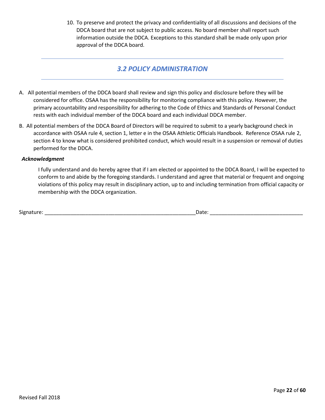10. To preserve and protect the privacy and confidentiality of all discussions and decisions of the DDCA board that are not subject to public access. No board member shall report such information outside the DDCA. Exceptions to this standard shall be made only upon prior approval of the DDCA board.

#### *3.2 POLICY ADMINISTRATION*

- A. All potential members of the DDCA board shall review and sign this policy and disclosure before they will be considered for office. OSAA has the responsibility for monitoring compliance with this policy. However, the primary accountability and responsibility for adhering to the Code of Ethics and Standards of Personal Conduct rests with each individual member of the DDCA board and each individual DDCA member.
- B. All potential members of the DDCA Board of Directors will be required to submit to a yearly background check in accordance with OSAA rule 4, section 1, letter e in the OSAA Athletic Officials Handbook. Reference OSAA rule 2, section 4 to know what is considered prohibited conduct, which would result in a suspension or removal of duties performed for the DDCA.

#### *Acknowledgment*

I fully understand and do hereby agree that if I am elected or appointed to the DDCA Board, I will be expected to conform to and abide by the foregoing standards. I understand and agree that material or frequent and ongoing violations of this policy may result in disciplinary action, up to and including termination from official capacity or membership with the DDCA organization.

| $\sim$<br>Signature | Date |  |
|---------------------|------|--|
|                     |      |  |
|                     |      |  |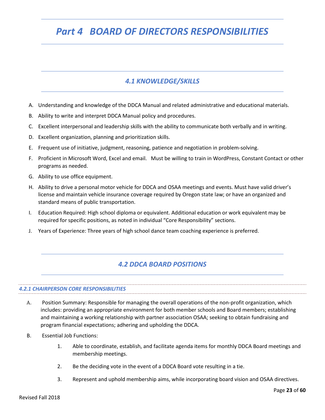# *Part 4 BOARD OF DIRECTORS RESPONSIBILITIES*

# *4.1 KNOWLEDGE/SKILLS*

- A. Understanding and knowledge of the DDCA Manual and related administrative and educational materials.
- B. Ability to write and interpret DDCA Manual policy and procedures.
- C. Excellent interpersonal and leadership skills with the ability to communicate both verbally and in writing.
- D. Excellent organization, planning and prioritization skills.
- E. Frequent use of initiative, judgment, reasoning, patience and negotiation in problem-solving.
- F. Proficient in Microsoft Word, Excel and email. Must be willing to train in WordPress, Constant Contact or other programs as needed.
- G. Ability to use office equipment.
- H. Ability to drive a personal motor vehicle for DDCA and OSAA meetings and events. Must have valid driver's license and maintain vehicle insurance coverage required by Oregon state law; or have an organized and standard means of public transportation.
- I. Education Required: High school diploma or equivalent. Additional education or work equivalent may be required for specific positions, as noted in individual "Core Responsibility" sections.
- J. Years of Experience: Three years of high school dance team coaching experience is preferred.

#### *4.2 DDCA BOARD POSITIONS*

#### *4.2.1 CHAIRPERSON CORE RESPONSIBILITIES*

- A. Position Summary: Responsible for managing the overall operations of the non-profit organization, which includes: providing an appropriate environment for both member schools and Board members; establishing and maintaining a working relationship with partner association OSAA; seeking to obtain fundraising and program financial expectations; adhering and upholding the DDCA.
- B. Essential Job Functions:
	- 1. Able to coordinate, establish, and facilitate agenda items for monthly DDCA Board meetings and membership meetings.
	- 2. Be the deciding vote in the event of a DDCA Board vote resulting in a tie.
	- 3. Represent and uphold membership aims, while incorporating board vision and OSAA directives.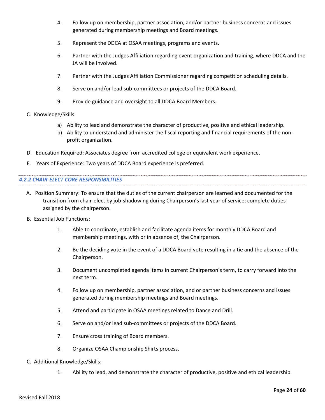- 4. Follow up on membership, partner association, and/or partner business concerns and issues generated during membership meetings and Board meetings.
- 5. Represent the DDCA at OSAA meetings, programs and events.
- 6. Partner with the Judges Affiliation regarding event organization and training, where DDCA and the JA will be involved.
- 7. Partner with the Judges Affiliation Commissioner regarding competition scheduling details.
- 8. Serve on and/or lead sub-committees or projects of the DDCA Board.
- 9. Provide guidance and oversight to all DDCA Board Members.
- C. Knowledge/Skills:
	- a) Ability to lead and demonstrate the character of productive, positive and ethical leadership.
	- b) Ability to understand and administer the fiscal reporting and financial requirements of the nonprofit organization.
- D. Education Required: Associates degree from accredited college or equivalent work experience.
- E. Years of Experience: Two years of DDCA Board experience is preferred.

#### *4.2.2 CHAIR-ELECT CORE RESPONSIBILITIES*

- A. Position Summary: To ensure that the duties of the current chairperson are learned and documented for the transition from chair-elect by job-shadowing during Chairperson's last year of service; complete duties assigned by the chairperson.
- B. Essential Job Functions:
	- 1. Able to coordinate, establish and facilitate agenda items for monthly DDCA Board and membership meetings, with or in absence of, the Chairperson.
	- 2. Be the deciding vote in the event of a DDCA Board vote resulting in a tie and the absence of the Chairperson.
	- 3. Document uncompleted agenda items in current Chairperson's term, to carry forward into the next term.
	- 4. Follow up on membership, partner association, and or partner business concerns and issues generated during membership meetings and Board meetings.
	- 5. Attend and participate in OSAA meetings related to Dance and Drill.
	- 6. Serve on and/or lead sub-committees or projects of the DDCA Board.
	- 7. Ensure cross training of Board members.
	- 8. Organize OSAA Championship Shirts process.
- C. Additional Knowledge/Skills:
	- 1. Ability to lead, and demonstrate the character of productive, positive and ethical leadership.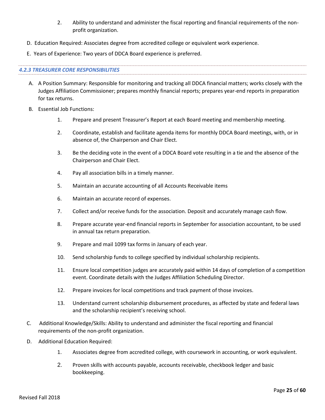- 2. Ability to understand and administer the fiscal reporting and financial requirements of the nonprofit organization.
- D. Education Required: Associates degree from accredited college or equivalent work experience.
- E. Years of Experience: Two years of DDCA Board experience is preferred.

#### *4.2.3 TREASURER CORE RESPONSIBILITIES*

- A. A Position Summary: Responsible for monitoring and tracking all DDCA financial matters; works closely with the Judges Affiliation Commissioner; prepares monthly financial reports; prepares year-end reports in preparation for tax returns.
- B. Essential Job Functions:
	- 1. Prepare and present Treasurer's Report at each Board meeting and membership meeting.
	- 2. Coordinate, establish and facilitate agenda items for monthly DDCA Board meetings, with, or in absence of, the Chairperson and Chair Elect.
	- 3. Be the deciding vote in the event of a DDCA Board vote resulting in a tie and the absence of the Chairperson and Chair Elect.
	- 4. Pay all association bills in a timely manner.
	- 5. Maintain an accurate accounting of all Accounts Receivable items
	- 6. Maintain an accurate record of expenses.
	- 7. Collect and/or receive funds for the association. Deposit and accurately manage cash flow.
	- 8. Prepare accurate year-end financial reports in September for association accountant, to be used in annual tax return preparation.
	- 9. Prepare and mail 1099 tax forms in January of each year.
	- 10. Send scholarship funds to college specified by individual scholarship recipients.
	- 11. Ensure local competition judges are accurately paid within 14 days of completion of a competition event. Coordinate details with the Judges Affiliation Scheduling Director.
	- 12. Prepare invoices for local competitions and track payment of those invoices.
	- 13. Understand current scholarship disbursement procedures, as affected by state and federal laws and the scholarship recipient's receiving school.
- C. Additional Knowledge/Skills: Ability to understand and administer the fiscal reporting and financial requirements of the non-profit organization.
- D. Additional Education Required:
	- 1. Associates degree from accredited college, with coursework in accounting, or work equivalent.
	- 2. Proven skills with accounts payable, accounts receivable, checkbook ledger and basic bookkeeping.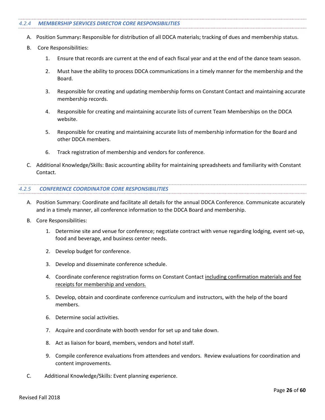#### *4.2.4 MEMBERSHIP SERVICES DIRECTOR CORE RESPONSIBILITIES*

- A. Position Summary**:** Responsible for distribution of all DDCA materials; tracking of dues and membership status.
- B. Core Responsibilities:
	- 1. Ensure that records are current at the end of each fiscal year and at the end of the dance team season.
	- 2. Must have the ability to process DDCA communications in a timely manner for the membership and the Board.
	- 3. Responsible for creating and updating membership forms on Constant Contact and maintaining accurate membership records.
	- 4. Responsible for creating and maintaining accurate lists of current Team Memberships on the DDCA website.
	- 5. Responsible for creating and maintaining accurate lists of membership information for the Board and other DDCA members.
	- 6. Track registration of membership and vendors for conference.
- C. Additional Knowledge/Skills: Basic accounting ability for maintaining spreadsheets and familiarity with Constant Contact.

#### *4.2.5 CONFERENCE COORDINATOR CORE RESPONSIBILITIES*

- A. Position Summary: Coordinate and facilitate all details for the annual DDCA Conference. Communicate accurately and in a timely manner, all conference information to the DDCA Board and membership.
- B. Core Responsibilities:
	- 1. Determine site and venue for conference; negotiate contract with venue regarding lodging, event set-up, food and beverage, and business center needs.
	- 2. Develop budget for conference.
	- 3. Develop and disseminate conference schedule.
	- 4. Coordinate conference registration forms on Constant Contact including confirmation materials and fee receipts for membership and vendors.
	- 5. Develop, obtain and coordinate conference curriculum and instructors, with the help of the board members.
	- 6. Determine social activities.
	- 7. Acquire and coordinate with booth vendor for set up and take down.
	- 8. Act as liaison for board, members, vendors and hotel staff.
	- 9. Compile conference evaluations from attendees and vendors. Review evaluations for coordination and content improvements.
- C. Additional Knowledge/Skills: Event planning experience.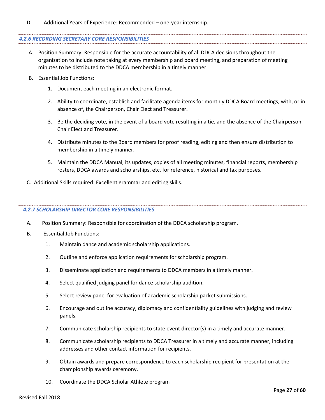#### D. Additional Years of Experience: Recommended – one-year internship.

#### *4.2.6 RECORDING SECRETARY CORE RESPONSIBILITIES*

- A. Position Summary: Responsible for the accurate accountability of all DDCA decisions throughout the organization to include note taking at every membership and board meeting, and preparation of meeting minutes to be distributed to the DDCA membership in a timely manner.
- B. Essential Job Functions:
	- 1. Document each meeting in an electronic format.
	- 2. Ability to coordinate, establish and facilitate agenda items for monthly DDCA Board meetings, with, or in absence of, the Chairperson, Chair Elect and Treasurer.
	- 3. Be the deciding vote, in the event of a board vote resulting in a tie, and the absence of the Chairperson, Chair Elect and Treasurer.
	- 4. Distribute minutes to the Board members for proof reading, editing and then ensure distribution to membership in a timely manner.
	- 5. Maintain the DDCA Manual, its updates, copies of all meeting minutes, financial reports, membership rosters, DDCA awards and scholarships, etc. for reference, historical and tax purposes.
- C. Additional Skills required: Excellent grammar and editing skills.

#### *4.2.7 SCHOLARSHIP DIRECTOR CORE RESPONSIBILITIES*

- A. Position Summary: Responsible for coordination of the DDCA scholarship program.
- B. Essential Job Functions:
	- 1. Maintain dance and academic scholarship applications.
	- 2. Outline and enforce application requirements for scholarship program.
	- 3. Disseminate application and requirements to DDCA members in a timely manner.
	- 4. Select qualified judging panel for dance scholarship audition.
	- 5. Select review panel for evaluation of academic scholarship packet submissions.
	- 6. Encourage and outline accuracy, diplomacy and confidentiality guidelines with judging and review panels.
	- 7. Communicate scholarship recipients to state event director(s) in a timely and accurate manner.
	- 8. Communicate scholarship recipients to DDCA Treasurer in a timely and accurate manner, including addresses and other contact information for recipients.
	- 9. Obtain awards and prepare correspondence to each scholarship recipient for presentation at the championship awards ceremony.
	- 10. Coordinate the DDCA Scholar Athlete program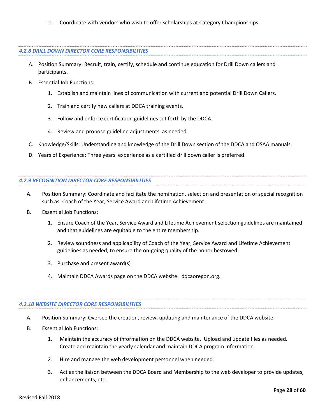11. Coordinate with vendors who wish to offer scholarships at Category Championships.

#### *4.2.8 DRILL DOWN DIRECTOR CORE RESPONSIBILITIES*

- A. Position Summary: Recruit, train, certify, schedule and continue education for Drill Down callers and participants.
- B. Essential Job Functions:
	- 1. Establish and maintain lines of communication with current and potential Drill Down Callers.
	- 2. Train and certify new callers at DDCA training events.
	- 3. Follow and enforce certification guidelines set forth by the DDCA.
	- 4. Review and propose guideline adjustments, as needed.
- C. Knowledge/Skills: Understanding and knowledge of the Drill Down section of the DDCA and OSAA manuals.
- D. Years of Experience: Three years' experience as a certified drill down caller is preferred.

#### *4.2.9 RECOGNITION DIRECTOR CORE RESPONSIBILITIES*

- A. Position Summary: Coordinate and facilitate the nomination, selection and presentation of special recognition such as: Coach of the Year, Service Award and Lifetime Achievement.
- B. Essential Job Functions:
	- 1. Ensure Coach of the Year, Service Award and Lifetime Achievement selection guidelines are maintained and that guidelines are equitable to the entire membership.
	- 2. Review soundness and applicability of Coach of the Year, Service Award and Lifetime Achievement guidelines as needed, to ensure the on-going quality of the honor bestowed.
	- 3. Purchase and present award(s)
	- 4. Maintain DDCA Awards page on the DDCA website: ddcaoregon.org.

#### *4.2.10 WEBSITE DIRECTOR CORE RESPONSIBILITIES*

- A. Position Summary: Oversee the creation, review, updating and maintenance of the DDCA website.
- B. Essential Job Functions:
	- 1. Maintain the accuracy of information on the DDCA website. Upload and update files as needed. Create and maintain the yearly calendar and maintain DDCA program information.
	- 2. Hire and manage the web development personnel when needed.
	- 3. Act as the liaison between the DDCA Board and Membership to the web developer to provide updates, enhancements, etc.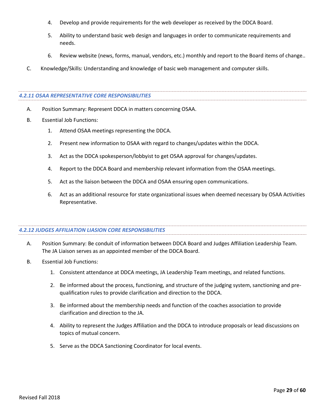- 4. Develop and provide requirements for the web developer as received by the DDCA Board.
- 5. Ability to understand basic web design and languages in order to communicate requirements and needs.
- 6. Review website (news, forms, manual, vendors, etc.) monthly and report to the Board items of change..
- C. Knowledge/Skills: Understanding and knowledge of basic web management and computer skills.

#### *4.2.11 OSAA REPRESENTATIVE CORE RESPONSIBILITIES*

- A. Position Summary: Represent DDCA in matters concerning OSAA.
- B. Essential Job Functions:
	- 1. Attend OSAA meetings representing the DDCA.
	- 2. Present new information to OSAA with regard to changes/updates within the DDCA.
	- 3. Act as the DDCA spokesperson/lobbyist to get OSAA approval for changes/updates.
	- 4. Report to the DDCA Board and membership relevant information from the OSAA meetings.
	- 5. Act as the liaison between the DDCA and OSAA ensuring open communications.
	- 6. Act as an additional resource for state organizational issues when deemed necessary by OSAA Activities Representative.

#### *4.2.12 JUDGES AFFILIATION LIASION CORE RESPONSIBILITIES*

- A. Position Summary: Be conduit of information between DDCA Board and Judges Affiliation Leadership Team. The JA Liaison serves as an appointed member of the DDCA Board.
- B. Essential Job Functions:
	- 1. Consistent attendance at DDCA meetings, JA Leadership Team meetings, and related functions.
	- 2. Be informed about the process, functioning, and structure of the judging system, sanctioning and prequalification rules to provide clarification and direction to the DDCA.
	- 3. Be informed about the membership needs and function of the coaches association to provide clarification and direction to the JA.
	- 4. Ability to represent the Judges Affiliation and the DDCA to introduce proposals or lead discussions on topics of mutual concern.
	- 5. Serve as the DDCA Sanctioning Coordinator for local events.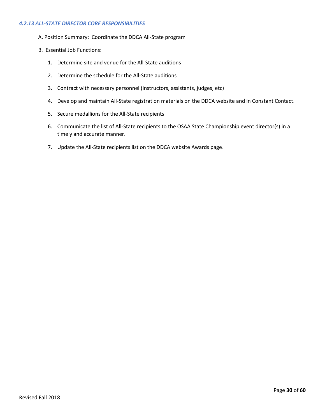- A. Position Summary: Coordinate the DDCA All-State program
- B. Essential Job Functions:
	- 1. Determine site and venue for the All-State auditions
	- 2. Determine the schedule for the All-State auditions
	- 3. Contract with necessary personnel (instructors, assistants, judges, etc)
	- 4. Develop and maintain All-State registration materials on the DDCA website and in Constant Contact.
	- 5. Secure medallions for the All-State recipients
	- 6. Communicate the list of All-State recipients to the OSAA State Championship event director(s) in a timely and accurate manner.
	- 7. Update the All-State recipients list on the DDCA website Awards page.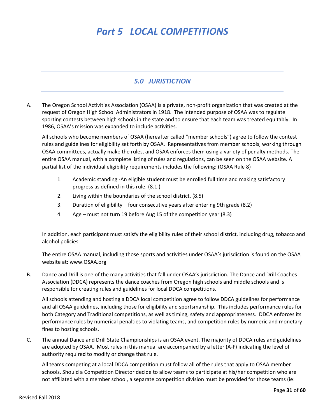# *Part 5 LOCAL COMPETITIONS*

## *5.0 JURISTICTION*

A. The Oregon School Activities Association (OSAA) is a private, non-profit organization that was created at the request of Oregon High School Administrators in 1918. The intended purpose of OSAA was to regulate sporting contests between high schools in the state and to ensure that each team was treated equitably. In 1986, OSAA's mission was expanded to include activities.

All schools who become members of OSAA (hereafter called "member schools") agree to follow the contest rules and guidelines for eligibility set forth by OSAA. Representatives from member schools, working through OSAA committees, actually make the rules, and OSAA enforces them using a variety of penalty methods. The entire OSAA manual, with a complete listing of rules and regulations, can be seen on the OSAA website. A partial list of the individual eligibility requirements includes the following: (OSAA Rule 8)

- 1. Academic standing -An eligible student must be enrolled full time and making satisfactory progress as defined in this rule. (8.1.)
- 2. Living within the boundaries of the school district. (8.5)
- 3. Duration of eligibility four consecutive years after entering 9th grade (8.2)
- 4. Age must not turn 19 before Aug 15 of the competition year (8.3)

In addition, each participant must satisfy the eligibility rules of their school district, including drug, tobacco and alcohol policies.

The entire OSAA manual, including those sports and activities under OSAA's jurisdiction is found on the OSAA website at: www.OSAA.org

B. Dance and Drill is one of the many activities that fall under OSAA's jurisdiction. The Dance and Drill Coaches Association (DDCA) represents the dance coaches from Oregon high schools and middle schools and is responsible for creating rules and guidelines for local DDCA competitions.

All schools attending and hosting a DDCA local competition agree to follow DDCA guidelines for performance and all OSAA guidelines, including those for eligibility and sportsmanship. This includes performance rules for both Category and Traditional competitions, as well as timing, safety and appropriateness. DDCA enforces its performance rules by numerical penalties to violating teams, and competition rules by numeric and monetary fines to hosting schools.

C. The annual Dance and Drill State Championships is an OSAA event. The majority of DDCA rules and guidelines are adopted by OSAA. Most rules in this manual are accompanied by a letter (A-F) indicating the level of authority required to modify or change that rule.

All teams competing at a local DDCA competition must follow all of the rules that apply to OSAA member schools. Should a Competition Director decide to allow teams to participate at his/her competition who are not affiliated with a member school, a separate competition division must be provided for those teams (ie: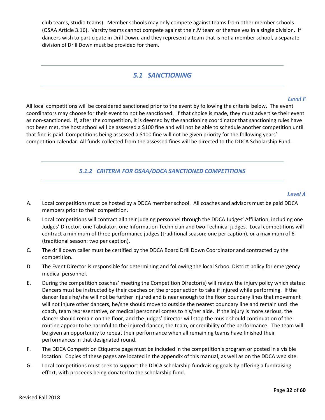club teams, studio teams). Member schools may only compete against teams from other member schools (OSAA Article 3.16). Varsity teams cannot compete against their JV team or themselves in a single division. If dancers wish to participate in Drill Down, and they represent a team that is not a member school, a separate division of Drill Down must be provided for them.

#### *5.1 SANCTIONING*

#### *Level F*

All local competitions will be considered sanctioned prior to the event by following the criteria below. The event coordinators may choose for their event to not be sanctioned. If that choice is made, they must advertise their event as non-sanctioned. If, after the competition, it is deemed by the sanctioning coordinator that sanctioning rules have not been met, the host school will be assessed a \$100 fine and will not be able to schedule another competition until that fine is paid. Competitions being assessed a \$100 fine will not be given priority for the following years' competition calendar. All funds collected from the assessed fines will be directed to the DDCA Scholarship Fund.

#### *5.1.2 CRITERIA FOR OSAA/DDCA SANCTIONED COMPETITIONS*

#### *Level A*

- A. Local competitions must be hosted by a DDCA member school. All coaches and advisors must be paid DDCA members prior to their competition.
- B. Local competitions will contract all their judging personnel through the DDCA Judges' Affiliation, including one Judges' Director, one Tabulator, one Information Technician and two Technical judges. Local competitions will contract a minimum of three performance judges (traditional season: one per caption), or a maximum of 6 (traditional season: two per caption).
- C. The drill down caller must be certified by the DDCA Board Drill Down Coordinator and contracted by the competition.
- D. The Event Director is responsible for determining and following the local School District policy for emergency medical personnel.
- E. During the competition coaches' meeting the Competition Director(s) will review the injury policy which states: Dancers must be instructed by their coaches on the proper action to take if injured while performing. If the dancer feels he/she will not be further injured and is near enough to the floor boundary lines that movement will not injure other dancers, he/she should move to outside the nearest boundary line and remain until the coach, team representative, or medical personnel comes to his/her aide. If the injury is more serious, the dancer should remain on the floor, and the judges' director will stop the music should continuation of the routine appear to be harmful to the injured dancer, the team, or credibility of the performance. The team will be given an opportunity to repeat their performance when all remaining teams have finished their performances in that designated round.
- F. The DDCA Competition Etiquette page must be included in the competition's program or posted in a visible location. Copies of these pages are located in the appendix of this manual, as well as on the DDCA web site.
- G. Local competitions must seek to support the DDCA scholarship fundraising goals by offering a fundraising effort, with proceeds being donated to the scholarship fund.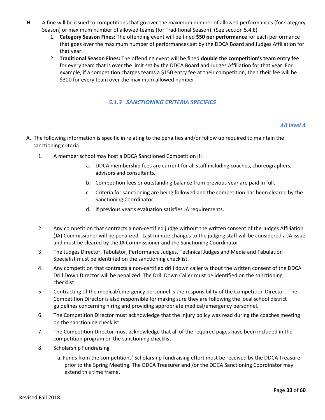- H. A fine will be issued to competitions that go over the maximum number of allowed performances (for Category Season) or maximum number of allowed teams (for Traditional Season). (See section 5.4.E)
	- 1. **Category Season Fines:** The offending event will be fined **\$50 per performance** for each performance that goes over the maximum number of performances set by the DDCA Board and Judges Affiliation for that year.
	- 2. **Traditional Season Fines:** The offending event will be fined **double the competition's team entry fee** for every team that is over the limit set by the DDCA Board and Judges Affiliation for that year. For example, if a competition charges teams a \$150 entry fee at their competition, then their fee will be \$300 for every team over the maximum allowed number.

#### *5.1.3 SANCTIONING CRITERIA SPECIFICS*

#### *All level A*

- A. The following information is specific in relating to the penalties and/or follow up required to maintain the sanctioning criteria.
	- 1. A member school may host a DDCA Sanctioned Competition if:
		- a. DDCA membership fees are current for all staff including coaches, choreographers, advisors and consultants.
		- b. Competition fees or outstanding balance from previous year are paid in full.
		- c. Criteria for sanctioning are being followed and the competition has been cleared by the Sanctioning Coordinator.
		- d. If previous year's evaluation satisfies JA requirements.
	- 2. Any competition that contracts a non-certified judge without the written consent of the Judges Affiliation (JA) Commissioner will be penalized. Last minute changes to the judging staff will be considered a JA issue and must be cleared by the JA Commissioner and the Sanctioning Coordinator.
	- 3. The Judges Director, Tabulator, Performance Judges, Technical Judges and Media and Tabulation Specialist must be identified on the sanctioning checklist.
	- 4. Any competition that contracts a non-certified drill down caller without the written consent of the DDCA Drill Down Director will be penalized. The Drill Down Caller must be identified on the sanctioning checklist.
	- 5. Contracting of the medical/emergency personnel is the responsibility of the Competition Director. The Competition Director is also responsible for making sure they are following the local school district guidelines concerning hiring and providing appropriate medical/emergency personnel.
	- 6. The Competition Director must acknowledge that the injury policy was read during the coaches meeting on the sanctioning checklist.
	- 7. The Competition Director must acknowledge that all of the required pages have been included in the competition program on the sanctioning checklist.
	- 8. Scholarship Fundraising
		- a. Funds from the competitions' Scholarship fundraising effort must be received by the DDCA Treasurer prior to the Spring Meeting. The DDCA Treasurer and /or the DDCA Sanctioning Coordinator may extend this time frame.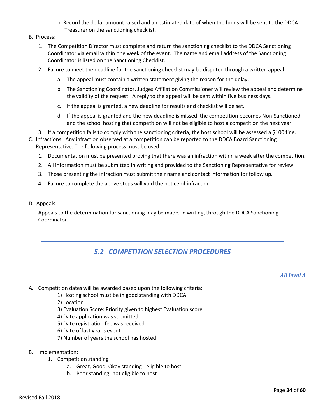- b. Record the dollar amount raised and an estimated date of when the funds will be sent to the DDCA Treasurer on the sanctioning checklist.
- B. Process:
	- 1. The Competition Director must complete and return the sanctioning checklist to the DDCA Sanctioning Coordinator via email within one week of the event. The name and email address of the Sanctioning Coordinator is listed on the Sanctioning Checklist.
	- 2. Failure to meet the deadline for the sanctioning checklist may be disputed through a written appeal.
		- a. The appeal must contain a written statement giving the reason for the delay.
		- b. The Sanctioning Coordinator, Judges Affiliation Commissioner will review the appeal and determine the validity of the request. A reply to the appeal will be sent within five business days.
		- c. If the appeal is granted, a new deadline for results and checklist will be set.
		- d. If the appeal is granted and the new deadline is missed, the competition becomes Non-Sanctioned and the school hosting that competition will not be eligible to host a competition the next year.
	- 3. If a competition fails to comply with the sanctioning criteria, the host school will be assessed a \$100 fine.
- C. Infractions: Any infraction observed at a competition can be reported to the DDCA Board Sanctioning Representative. The following process must be used:
	- 1. Documentation must be presented proving that there was an infraction within a week after the competition.
	- 2. All information must be submitted in writing and provided to the Sanctioning Representative for review.
	- 3. Those presenting the infraction must submit their name and contact information for follow up.
	- 4. Failure to complete the above steps will void the notice of infraction
- D. Appeals:

Appeals to the determination for sanctioning may be made, in writing, through the DDCA Sanctioning Coordinator.

## *5.2 COMPETITION SELECTION PROCEDURES*

*All level A*

- A. Competition dates will be awarded based upon the following criteria:
	- 1) Hosting school must be in good standing with DDCA
	- 2) Location
	- 3) Evaluation Score: Priority given to highest Evaluation score
	- 4) Date application was submitted
	- 5) Date registration fee was received
	- 6) Date of last year's event
	- 7) Number of years the school has hosted
- B. Implementation:
	- 1. Competition standing
		- a. Great, Good, Okay standing eligible to host;
		- b. Poor standing- not eligible to host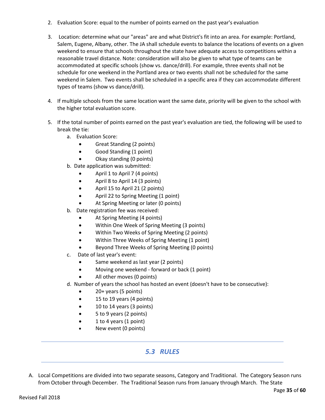- 2. Evaluation Score: equal to the number of points earned on the past year's evaluation
- 3. Location: determine what our "areas" are and what District's fit into an area. For example: Portland, Salem, Eugene, Albany, other. The JA shall schedule events to balance the locations of events on a given weekend to ensure that schools throughout the state have adequate access to competitions within a reasonable travel distance. Note: consideration will also be given to what type of teams can be accommodated at specific schools (show vs. dance/drill). For example, three events shall not be schedule for one weekend in the Portland area or two events shall not be scheduled for the same weekend in Salem. Two events shall be scheduled in a specific area if they can accommodate different types of teams (show vs dance/drill).
- 4. If multiple schools from the same location want the same date, priority will be given to the school with the higher total evaluation score.
- 5. If the total number of points earned on the past year's evaluation are tied, the following will be used to break the tie:
	- a. Evaluation Score:
		- Great Standing (2 points)
		- Good Standing (1 point)
		- Okay standing (0 points)
	- b. Date application was submitted:
		- April 1 to April 7 (4 points)
		- April 8 to April 14 (3 points)
		- April 15 to April 21 (2 points)
		- April 22 to Spring Meeting (1 point)
		- At Spring Meeting or later (0 points)
	- b. Date registration fee was received:
		- At Spring Meeting (4 points)
		- Within One Week of Spring Meeting (3 points)
		- Within Two Weeks of Spring Meeting (2 points)
		- Within Three Weeks of Spring Meeting (1 point)
		- Beyond Three Weeks of Spring Meeting (0 points)
	- c. Date of last year's event:
		- Same weekend as last year (2 points)
		- Moving one weekend forward or back (1 point)
		- All other moves (0 points)
	- d. Number of years the school has hosted an event (doesn't have to be consecutive):
		- 20+ years (5 points)
		- 15 to 19 years (4 points)
		- 10 to 14 years (3 points)
		- 5 to 9 years (2 points)
		- 1 to 4 years (1 point)
		- New event (0 points)

## *5.3 RULES*

A. Local Competitions are divided into two separate seasons, Category and Traditional. The Category Season runs from October through December. The Traditional Season runs from January through March. The State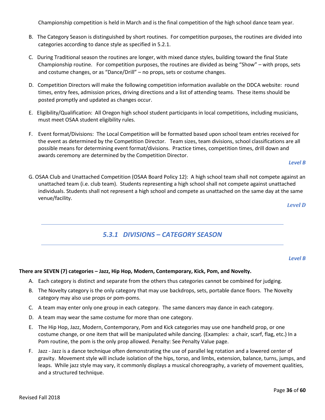Championship competition is held in March and is the final competition of the high school dance team year.

- B. The Category Season is distinguished by short routines. For competition purposes, the routines are divided into categories according to dance style as specified in 5.2.1.
- C. During Traditional season the routines are longer, with mixed dance styles, building toward the final State Championship routine. For competition purposes, the routines are divided as being "Show" – with props, sets and costume changes, or as "Dance/Drill" – no props, sets or costume changes.
- D. Competition Directors will make the following competition information available on the DDCA website: round times, entry fees, admission prices, driving directions and a list of attending teams. These items should be posted promptly and updated as changes occur.
- E. Eligibility/Qualification: All Oregon high school student participants in local competitions, including musicians, must meet OSAA student eligibility rules.
- F. Event format/Divisions: The Local Competition will be formatted based upon school team entries received for the event as determined by the Competition Director. Team sizes, team divisions, school classifications are all possible means for determining event format/divisions. Practice times, competition times, drill down and awards ceremony are determined by the Competition Director.

#### *Level B*

G. OSAA Club and Unattached Competition (OSAA Board Policy 12): A high school team shall not compete against an unattached team (i.e. club team). Students representing a high school shall not compete against unattached individuals. Students shall not represent a high school and compete as unattached on the same day at the same venue/facility.

*Level D*

## *5.3.1 DIVISIONS – CATEGORY SEASON*

#### *Level B*

#### **There are SEVEN (7) categories – Jazz, Hip Hop, Modern, Contemporary, Kick, Pom, and Novelty.**

- A. Each category is distinct and separate from the others thus categories cannot be combined for judging.
- B. The Novelty category is the only category that may use backdrops, sets, portable dance floors. The Novelty category may also use props or pom-poms.
- C. A team may enter only one group in each category. The same dancers may dance in each category.
- D. A team may wear the same costume for more than one category.
- E. The Hip Hop, Jazz, Modern, Contemporary, Pom and Kick categories may use one handheld prop, or one costume change, or one item that will be manipulated while dancing. (Examples: a chair, scarf, flag, etc.) In a Pom routine, the pom is the only prop allowed. Penalty: See Penalty Value page.
- F. Jazz Jazz is a dance technique often demonstrating the use of parallel leg rotation and a lowered center of gravity. Movement style will include isolation of the hips, torso, and limbs, extension, balance, turns, jumps, and leaps. While jazz style may vary, it commonly displays a musical choreography, a variety of movement qualities, and a structured technique.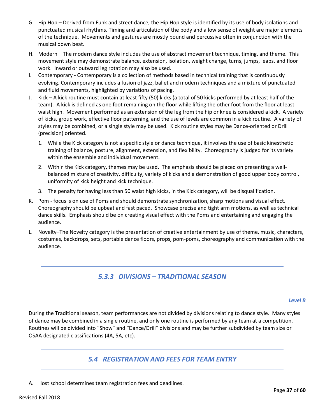- G. Hip Hop Derived from Funk and street dance, the Hip Hop style is identified by its use of body isolations and punctuated musical rhythms. Timing and articulation of the body and a low sense of weight are major elements of the technique. Movements and gestures are mostly bound and percussive often in conjunction with the musical down beat.
- H. Modern The modern dance style includes the use of abstract movement technique, timing, and theme. This movement style may demonstrate balance, extension, isolation, weight change, turns, jumps, leaps, and floor work. Inward or outward leg rotation may also be used.
- I. Contemporary Contemporary is a collection of methods based in technical training that is continuously evolving. Contemporary includes a fusion of jazz, ballet and modern techniques and a mixture of punctuated and fluid movements, highlighted by variations of pacing.
- J. Kick A kick routine must contain at least fifty (50) kicks (a total of 50 kicks performed by at least half of the team). A kick is defined as one foot remaining on the floor while lifting the other foot from the floor at least waist high. Movement performed as an extension of the leg from the hip or knee is considered a kick. A variety of kicks, group work, effective floor patterning, and the use of levels are common in a kick routine. A variety of styles may be combined, or a single style may be used. Kick routine styles may be Dance-oriented or Drill (precision) oriented.
	- 1. While the Kick category is not a specific style or dance technique, it involves the use of basic kinesthetic training of balance, posture, alignment, extension, and flexibility. Choreography is judged for its variety within the ensemble and individual movement.
	- 2. Within the Kick category, themes may be used. The emphasis should be placed on presenting a wellbalanced mixture of creativity, difficulty, variety of kicks and a demonstration of good upper body control, uniformity of kick height and kick technique.
	- 3. The penalty for having less than 50 waist high kicks, in the Kick category, will be disqualification.
- K. Pom focus is on use of Poms and should demonstrate synchronization, sharp motions and visual effect. Choreography should be upbeat and fast paced. Showcase precise and tight arm motions, as well as technical dance skills. Emphasis should be on creating visual effect with the Poms and entertaining and engaging the audience.
- L. Novelty–The Novelty category is the presentation of creative entertainment by use of theme, music, characters, costumes, backdrops, sets, portable dance floors, props, pom-poms, choreography and communication with the audience.

# *5.3.3 DIVISIONS – TRADITIONAL SEASON*

#### *Level B*

During the Traditional season, team performances are not divided by divisions relating to dance style. Many styles of dance may be combined in a single routine, and only one routine is performed by any team at a competition. Routines will be divided into "Show" and "Dance/Drill" divisions and may be further subdivided by team size or OSAA designated classifications (4A, 5A, etc).

## *5.4 REGISTRATION AND FEES FOR TEAM ENTRY*

A. Host school determines team registration fees and deadlines.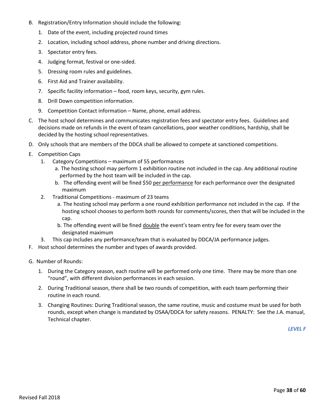- B. Registration/Entry Information should include the following:
	- 1. Date of the event, including projected round times
	- 2. Location, including school address, phone number and driving directions.
	- 3. Spectator entry fees.
	- 4. Judging format, festival or one-sided.
	- 5. Dressing room rules and guidelines.
	- 6. First Aid and Trainer availability.
	- 7. Specific facility information food, room keys, security, gym rules.
	- 8. Drill Down competition information.
	- 9. Competition Contact information Name, phone, email address.
- C. The host school determines and communicates registration fees and spectator entry fees. Guidelines and decisions made on refunds in the event of team cancellations, poor weather conditions, hardship, shall be decided by the hosting school representatives.
- D. Only schools that are members of the DDCA shall be allowed to compete at sanctioned competitions.
- E. Competition Caps
	- 1. Category Competitions maximum of 55 performances
		- a. The hosting school may perform 1 exhibition routine not included in the cap. Any additional routine performed by the host team will be included in the cap.
		- b. The offending event will be fined \$50 per performance for each performance over the designated maximum
	- 2. Traditional Competitions maximum of 23 teams
		- a. The hosting school may perform a one round exhibition performance not included in the cap. If the hosting school chooses to perform both rounds for comments/scores, then that will be included in the cap.
		- b. The offending event will be fined double the event's team entry fee for every team over the designated maximum
	- 3. This cap includes any performance/team that is evaluated by DDCA/JA performance judges.
- F. Host school determines the number and types of awards provided.
- G. Number of Rounds:
	- 1. During the Category season, each routine will be performed only one time. There may be more than one "round", with different division performances in each session.
	- 2. During Traditional season, there shall be two rounds of competition, with each team performing their routine in each round.
	- 3. Changing Routines: During Traditional season, the same routine, music and costume must be used for both rounds, except when change is mandated by OSAA/DDCA for safety reasons. PENALTY: See the J.A. manual, Technical chapter.

*LEVEL F*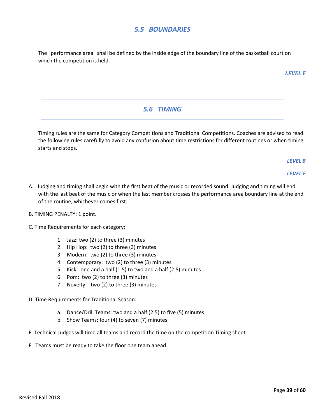## *5.5 BOUNDARIES*

The "performance area" shall be defined by the inside edge of the boundary line of the basketball court on which the competition is held.

*LEVEL F* 

# *5.6 TIMING*

Timing rules are the same for Category Competitions and Traditional Competitions. Coaches are advised to read the following rules carefully to avoid any confusion about time restrictions for different routines or when timing starts and stops.

*LEVEL B* 

*LEVEL F* 

- A. Judging and timing shall begin with the first beat of the music or recorded sound. Judging and timing will end with the last beat of the music or when the last member crosses the performance area boundary line at the end of the routine, whichever comes first.
- B. TIMING PENALTY: 1 point.
- C. Time Requirements for each category:
	- 1. Jazz: two (2) to three (3) minutes
	- 2. Hip Hop: two (2) to three (3) minutes
	- 3. Modern: two (2) to three (3) minutes
	- 4. Contemporary: two (2) to three (3) minutes
	- 5. Kick: one and a half (1.5) to two and a half (2.5) minutes
	- 6. Pom: two (2) to three (3) minutes
	- 7. Novelty: two (2) to three (3) minutes
- D. Time Requirements for Traditional Season:
	- a. Dance/Drill Teams: two and a half (2.5) to five (5) minutes
	- b. Show Teams: four (4) to seven (7) minutes
- E. Technical Judges will time all teams and record the time on the competition Timing sheet.
- F. Teams must be ready to take the floor one team ahead.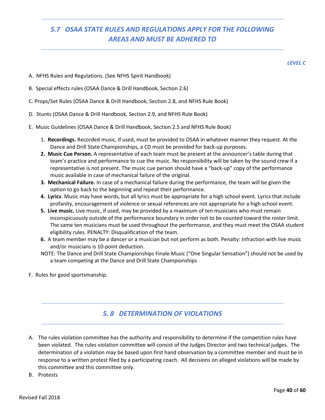# *5.7 OSAA STATE RULES AND REGULATIONS APPLY FOR THE FOLLOWING AREAS AND MUST BE ADHERED TO*

*LEVEL C* 

- A. NFHS Rules and Regulations. (See NFHS Spirit Handbook)
- B. Special effects rules (OSAA Dance & Drill Handbook, Section 2.6)
- C. Props/Set Rules (OSAA Dance & Drill Handbook, Section 2.8, and NFHS Rule Book)
- D. Stunts (OSAA Dance & Drill Handbook, Section 2.9, and NFHS Rule Book)
- E. Music Guidelines (OSAA Dance & Drill Handbook, Section 2.5 and NFHS Rule Book)
	- 1. **Recordings.** Recorded music, if used, must be provided to OSAA in whatever manner they request. At the Dance and Drill State Championships, a CD must be provided for back-up purposes.
	- **2. Music Cue Person.** A representative of each team must be present at the announcer's table during that team's practice and performance to cue the music. No responsibility will be taken by the sound crew if a representative is not present. The music cue person should have a "back‐up" copy of the performance music available in case of mechanical failure of the original.
	- **3. Mechanical Failure.** In case of a mechanical failure during the performance, the team will be given the option to go back to the beginning and repeat their performance.
	- **4. Lyrics**. Music may have words, but all lyrics must be appropriate for a high school event. Lyrics that include profanity, encouragement of violence or sexual references are not appropriate for a high school event.
	- **5. Live music.** Live music, if used, may be provided by a maximum of ten musicians who must remain inconspicuously outside of the performance boundary in order not to be counted toward the roster limit. The same ten musicians must be used throughout the performance, and they must meet the OSAA student eligibility rules. PENALTY: Disqualification of the team.
	- **6.** A team member may be a dancer or a musician but not perform as both. Penalty: Infraction with live music and/or musicians is 10‐point deduction.
	- NOTE: The Dance and Drill State Championships Finale Music ("One Singular Sensation") should not be used by a team competing at the Dance and Drill State Championships
- F. Rules for good sportsmanship.

## *5. 8 DETERMINATION OF VIOLATIONS*

- A. The rules violation committee has the authority and responsibility to determine if the competition rules have been violated. The rules violation committee will consist of the Judges Director and two technical judges. The determination of a violation may be based upon first hand observation by a committee member and must be in response to a written protest filed by a participating coach. All decisions on alleged violations will be made by this committee and this committee only.
- B. Protests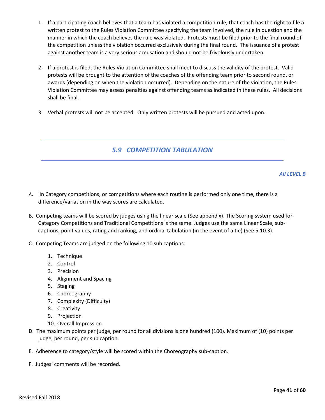- 1. If a participating coach believes that a team has violated a competition rule, that coach has the right to file a written protest to the Rules Violation Committee specifying the team involved, the rule in question and the manner in which the coach believes the rule was violated. Protests must be filed prior to the final round of the competition unless the violation occurred exclusively during the final round. The issuance of a protest against another team is a very serious accusation and should not be frivolously undertaken.
- 2. If a protest is filed, the Rules Violation Committee shall meet to discuss the validity of the protest. Valid protests will be brought to the attention of the coaches of the offending team prior to second round, or awards (depending on when the violation occurred). Depending on the nature of the violation, the Rules Violation Committee may assess penalties against offending teams as indicated in these rules. All decisions shall be final.
- 3. Verbal protests will not be accepted. Only written protests will be pursued and acted upon.

# *5.9 COMPETITION TABULATION*

*All LEVEL B* 

- A. In Category competitions, or competitions where each routine is performed only one time, there is a difference/variation in the way scores are calculated.
- B. Competing teams will be scored by judges using the linear scale (See appendix). The Scoring system used for Category Competitions and Traditional Competitions is the same. Judges use the same Linear Scale, subcaptions, point values, rating and ranking, and ordinal tabulation (in the event of a tie) (See 5.10.3).
- C. Competing Teams are judged on the following 10 sub captions:
	- 1. Technique
	- 2. Control
	- 3. Precision
	- 4. Alignment and Spacing
	- 5. Staging
	- 6. Choreography
	- 7. Complexity (Difficulty)
	- 8. Creativity
	- 9. Projection
	- 10. Overall Impression
- D. The maximum points per judge, per round for all divisions is one hundred (100). Maximum of (10) points per judge, per round, per sub caption.
- E. Adherence to category/style will be scored within the Choreography sub-caption.
- F. Judges' comments will be recorded.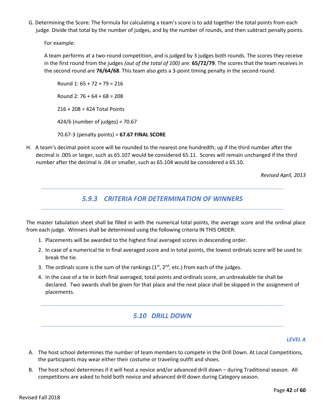G. Determining the Score: The formula for calculating a team's score is to add together the total points from each judge. Divide that total by the number of judges, and by the number of rounds, and then subtract penalty points.

For example:

A team performs at a two-round competition, and is judged by 3 judges both rounds. The scores they receive in the first round from the judges *(out of the total of 100)* are: **65/72/79**. The scores that the team receives in the second round are **76/64/68**. This team also gets a 3-point timing penalty in the second round.

Round 1: 65 + 72 + 79 = 216 Round 2: 76 + 64 + 68 = 208 216 + 208 = 424 Total Points 424/6 (number of judges) = 70.67 70.67-3 (penalty points) = **67.67 FINAL SCORE**

H. A team's decimal point score will be rounded to the nearest one hundredth; up if the third number after the decimal is .005 or larger, such as 65.107 would be considered 65.11. Scores will remain unchanged if the third number after the decimal is .04 or smaller, such as 65.104 would be considered a 65.10.

*Revised April, 2013*

## *5.9.3 CRITERIA FOR DETERMINATION OF WINNERS*

The master tabulation sheet shall be filled in with the numerical total points, the average score and the ordinal place from each judge. Winners shall be determined using the following criteria IN THIS ORDER:

- 1. Placements will be awarded to the highest final averaged scores in descending order.
- 2. In case of a numerical tie in final averaged score and in total points, the lowest ordinals score will be used to break the tie.
- 3. The ordinals score is the sum of the rankings  $(1<sup>st</sup>, 2<sup>nd</sup>, etc.)$  from each of the judges.
- 4. In the case of a tie in both final averaged, total points and ordinals score, an unbreakable tie shall be declared. Two awards shall be given for that place and the next place shall be skipped in the assignment of placements.

## *5.10 DRILL DOWN*

#### *LEVEL A*

- A. The host school determines the number of team members to compete in the Drill Down. At Local Competitions, the participants may wear either their costume or traveling outfit and shoes.
- B. The host school determines if it will host a novice and/or advanced drill down during Traditional season. All competitions are asked to hold both novice and advanced drill down during Category season.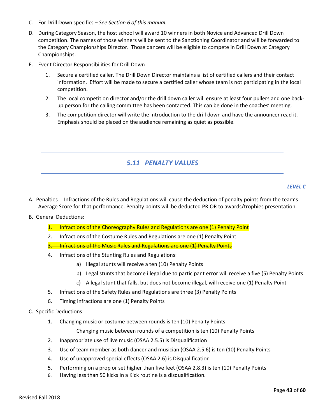- *C.* For Drill Down specifics *See Section 6 of this manual.*
- D. During Category Season, the host school will award 10 winners in both Novice and Advanced Drill Down competition. The names of those winners will be sent to the Sanctioning Coordinator and will be forwarded to the Category Championships Director. Those dancers will be eligible to compete in Drill Down at Category Championships.
- E. Event Director Responsibilities for Drill Down
	- 1. Secure a certified caller. The Drill Down Director maintains a list of certified callers and their contact information. Effort will be made to secure a certified caller whose team is not participating in the local competition.
	- 2. The local competition director and/or the drill down caller will ensure at least four pullers and one backup person for the calling committee has been contacted. This can be done in the coaches' meeting.
	- 3. The competition director will write the introduction to the drill down and have the announcer read it. Emphasis should be placed on the audience remaining as quiet as possible.

#### *5.11 PENALTY VALUES*

#### *LEVEL C*

- A. Penalties -- Infractions of the Rules and Regulations will cause the deduction of penalty points from the team's Average Score for that performance. Penalty points will be deducted PRIOR to awards/trophies presentation.
- B. General Deductions:
	- 1. Infractions of the Choreography Rules and Regulations are one (1) Penalty Point
	- 2. Infractions of the Costume Rules and Regulations are one (1) Penalty Point
	- 3. Infractions of the Music Rules and Regulations are one (1) Penalty Points
	- 4. Infractions of the Stunting Rules and Regulations:
		- a) Illegal stunts will receive a ten (10) Penalty Points
		- b) Legal stunts that become illegal due to participant error will receive a five (5) Penalty Points
		- c) A legal stunt that falls, but does not become illegal, will receive one (1) Penalty Point
	- 5. Infractions of the Safety Rules and Regulations are three (3) Penalty Points
	- 6. Timing infractions are one (1) Penalty Points

#### C. Specific Deductions:

1. Changing music or costume between rounds is ten (10) Penalty Points

Changing music between rounds of a competition is ten (10) Penalty Points

- 2. Inappropriate use of live music (OSAA 2.5.5) is Disqualification
- 3. Use of team member as both dancer and musician (OSAA 2.5.6) is ten (10) Penalty Points
- 4. Use of unapproved special effects (OSAA 2.6) is Disqualification
- 5. Performing on a prop or set higher than five feet (OSAA 2.8.3) is ten (10) Penalty Points
- 6. Having less than 50 kicks in a Kick routine is a disqualification.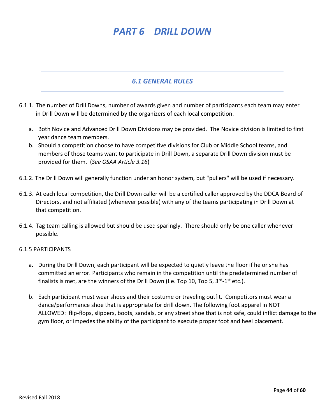# *PART 6 DRILL DOWN*

## *6.1 GENERAL RULES*

- 6.1.1. The number of Drill Downs, number of awards given and number of participants each team may enter in Drill Down will be determined by the organizers of each local competition.
	- a. Both Novice and Advanced Drill Down Divisions may be provided. The Novice division is limited to first year dance team members.
	- b. Should a competition choose to have competitive divisions for Club or Middle School teams, and members of those teams want to participate in Drill Down, a separate Drill Down division must be provided for them. (*See OSAA Article 3.16*)
- 6.1.2. The Drill Down will generally function under an honor system, but "pullers" will be used if necessary.
- 6.1.3. At each local competition, the Drill Down caller will be a certified caller approved by the DDCA Board of Directors, and not affiliated (whenever possible) with any of the teams participating in Drill Down at that competition.
- 6.1.4. Tag team calling is allowed but should be used sparingly. There should only be one caller whenever possible.

#### 6.1.5 PARTICIPANTS

- a. During the Drill Down, each participant will be expected to quietly leave the floor if he or she has committed an error. Participants who remain in the competition until the predetermined number of finalists is met, are the winners of the Drill Down (I.e. Top 10, Top 5, 3<sup>rd</sup>-1<sup>st</sup> etc.).
- b. Each participant must wear shoes and their costume or traveling outfit. Competitors must wear a dance/performance shoe that is appropriate for drill down. The following foot apparel in NOT ALLOWED: flip-flops, slippers, boots, sandals, or any street shoe that is not safe, could inflict damage to the gym floor, or impedes the ability of the participant to execute proper foot and heel placement.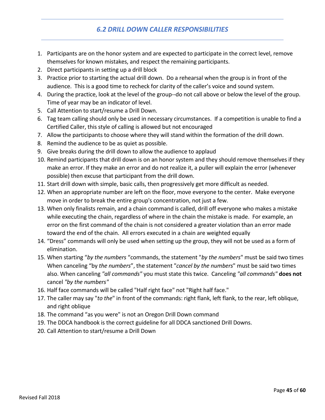# *6.2 DRILL DOWN CALLER RESPONSIBILITIES*

- 1. Participants are on the honor system and are expected to participate in the correct level, remove themselves for known mistakes, and respect the remaining participants.
- 2. Direct participants in setting up a drill block
- 3. Practice prior to starting the actual drill down. Do a rehearsal when the group is in front of the audience. This is a good time to recheck for clarity of the caller's voice and sound system.
- 4. During the practice, look at the level of the group--do not call above or below the level of the group. Time of year may be an indicator of level.
- 5. Call Attention to start/resume a Drill Down.
- 6. Tag team calling should only be used in necessary circumstances. If a competition is unable to find a Certified Caller, this style of calling is allowed but not encouraged
- 7. Allow the participants to choose where they will stand within the formation of the drill down.
- 8. Remind the audience to be as quiet as possible.
- 9. Give breaks during the drill down to allow the audience to applaud
- 10. Remind participants that drill down is on an honor system and they should remove themselves if they make an error. If they make an error and do not realize it, a puller will explain the error (whenever possible) then excuse that participant from the drill down.
- 11. Start drill down with simple, basic calls, then progressively get more difficult as needed.
- 12. When an appropriate number are left on the floor, move everyone to the center. Make everyone move in order to break the entire group's concentration, not just a few.
- 13. When only finalists remain, and a chain command is called, drill off everyone who makes a mistake while executing the chain, regardless of where in the chain the mistake is made. For example, an error on the first command of the chain is not considered a greater violation than an error made toward the end of the chain. All errors executed in a chain are weighted equally
- 14. "Dress" commands will only be used when setting up the group, they will not be used as a form of elimination.
- 15. When starting "*by the numbers* "commands, the statement "*by the numbers*" must be said two times When canceling "by *the numbers*", the statement "*cancel by the numbers*" must be said two times also. When canceling *"all commands"* you must state this twice. Canceling *"all commands"* **does not** cancel *"by the numbers"*
- 16. Half face commands will be called "Half right face" not "Right half face."
- 17. The caller may say "*to the*" in front of the commands: right flank, left flank, to the rear, left oblique, and right oblique
- 18. The command "as you were" is not an Oregon Drill Down command
- 19. The DDCA handbook is the correct guideline for all DDCA sanctioned Drill Downs.
- 20. Call Attention to start/resume a Drill Down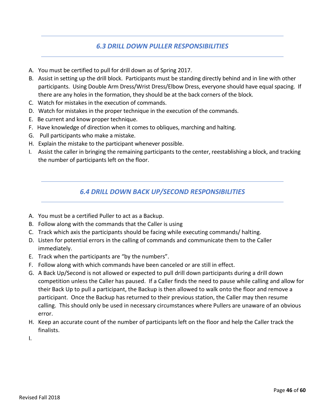## *6.3 DRILL DOWN PULLER RESPONSIBILITIES*

- A. You must be certified to pull for drill down as of Spring 2017.
- B. Assist in setting up the drill block. Participants must be standing directly behind and in line with other participants. Using Double Arm Dress/Wrist Dress/Elbow Dress, everyone should have equal spacing. If there are any holes in the formation, they should be at the back corners of the block.
- C. Watch for mistakes in the execution of commands.
- D. Watch for mistakes in the proper technique in the execution of the commands.
- E. Be current and know proper technique.
- F. Have knowledge of direction when it comes to obliques, marching and halting.
- G. Pull participants who make a mistake.
- H. Explain the mistake to the participant whenever possible.
- I. Assist the caller in bringing the remaining participants to the center, reestablishing a block, and tracking the number of participants left on the floor.

## *6.4 DRILL DOWN BACK UP/SECOND RESPONSIBILITIES*

- A. You must be a certified Puller to act as a Backup.
- B. Follow along with the commands that the Caller is using
- C. Track which axis the participants should be facing while executing commands/ halting.
- D. Listen for potential errors in the calling of commands and communicate them to the Caller immediately.
- E. Track when the participants are "by the numbers".
- F. Follow along with which commands have been canceled or are still in effect.
- G. A Back Up/Second is not allowed or expected to pull drill down participants during a drill down competition unless the Caller has paused. If a Caller finds the need to pause while calling and allow for their Back Up to pull a participant, the Backup is then allowed to walk onto the floor and remove a participant. Once the Backup has returned to their previous station, the Caller may then resume calling. This should only be used in necessary circumstances where Pullers are unaware of an obvious error.
- H. Keep an accurate count of the number of participants left on the floor and help the Caller track the finalists.
- I.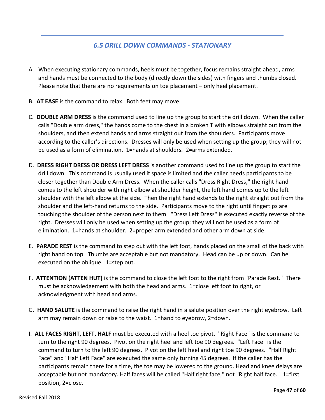#### *6.5 DRILL DOWN COMMANDS - STATIONARY*

- A. When executing stationary commands, heels must be together, focus remains straight ahead, arms and hands must be connected to the body (directly down the sides) with fingers and thumbs closed. Please note that there are no requirements on toe placement – only heel placement.
- B. **AT EASE** is the command to relax. Both feet may move.
- C. **DOUBLE ARM DRESS** is the command used to line up the group to start the drill down. When the caller calls "Double arm dress," the hands come to the chest in a broken T with elbows straight out from the shoulders, and then extend hands and arms straight out from the shoulders. Participants move according to the caller's directions. Dresses will only be used when setting up the group; they will not be used as a form of elimination. 1=hands at shoulders. 2=arms extended.
- D. **DRESS RIGHT DRESS OR DRESS LEFT DRESS** is another command used to line up the group to start the drill down. This command is usually used if space is limited and the caller needs participants to be closer together than Double Arm Dress. When the caller calls "Dress Right Dress," the right hand comes to the left shoulder with right elbow at shoulder height, the left hand comes up to the left shoulder with the left elbow at the side. Then the right hand extends to the right straight out from the shoulder and the left-hand returns to the side. Participants move to the right until fingertips are touching the shoulder of the person next to them. "Dress Left Dress" is executed exactly reverse of the right. Dresses will only be used when setting up the group; they will not be used as a form of elimination. 1=hands at shoulder. 2=proper arm extended and other arm down at side.
- E. **PARADE REST** is the command to step out with the left foot, hands placed on the small of the back with right hand on top. Thumbs are acceptable but not mandatory. Head can be up or down. Can be executed on the oblique. 1=step out.
- F. **ATTENTION (ATTEN HUT)** is the command to close the left foot to the right from "Parade Rest." There must be acknowledgement with both the head and arms. 1=close left foot to right, or acknowledgment with head and arms.
- G. **HAND SALUTE** is the command to raise the right hand in a salute position over the right eyebrow. Left arm may remain down or raise to the waist. 1=hand to eyebrow, 2=down.
- I. **ALL FACES RIGHT, LEFT, HALF** must be executed with a heel toe pivot. "Right Face" is the command to turn to the right 90 degrees. Pivot on the right heel and left toe 90 degrees. "Left Face" is the command to turn to the left 90 degrees. Pivot on the left heel and right toe 90 degrees. "Half Right Face" and "Half Left Face" are executed the same only turning 45 degrees. If the caller has the participants remain there for a time, the toe may be lowered to the ground. Head and knee delays are acceptable but not mandatory. Half faces will be called "Half right face," not "Right half face." 1=first position, 2=close.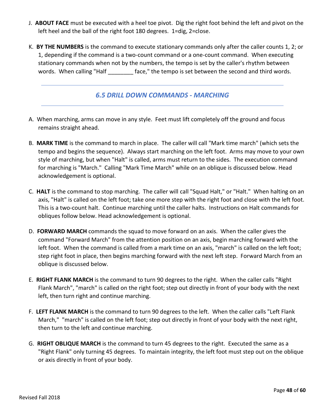- J. **ABOUT FACE** must be executed with a heel toe pivot. Dig the right foot behind the left and pivot on the left heel and the ball of the right foot 180 degrees. 1=dig, 2=close.
- K. **BY THE NUMBERS** is the command to execute stationary commands only after the caller counts 1, 2; or 1, depending if the command is a two-count command or a one-count command. When executing stationary commands when not by the numbers, the tempo is set by the caller's rhythm between words. When calling "Half \_\_\_\_\_\_\_\_ face," the tempo is set between the second and third words.

## *6.5 DRILL DOWN COMMANDS - MARCHING*

- A. When marching, arms can move in any style. Feet must lift completely off the ground and focus remains straight ahead.
- B. **MARK TIME** is the command to march in place. The caller will call "Mark time march" (which sets the tempo and begins the sequence). Always start marching on the left foot. Arms may move to your own style of marching, but when "Halt" is called, arms must return to the sides. The execution command for marching is "March." Calling "Mark Time March" while on an oblique is discussed below. Head acknowledgement is optional.
- C. **HALT** is the command to stop marching. The caller will call "Squad Halt," or "Halt." When halting on an axis, "Halt" is called on the left foot; take one more step with the right foot and close with the left foot. This is a two-count halt. Continue marching until the caller halts. Instructions on Halt commands for obliques follow below. Head acknowledgement is optional.
- D. **FORWARD MARCH** commands the squad to move forward on an axis. When the caller gives the command "Forward March" from the attention position on an axis, begin marching forward with the left foot. When the command is called from a mark time on an axis, "march" is called on the left foot; step right foot in place, then begins marching forward with the next left step. Forward March from an oblique is discussed below.
- E. **RIGHT FLANK MARCH** is the command to turn 90 degrees to the right. When the caller calls "Right Flank March", "march" is called on the right foot; step out directly in front of your body with the next left, then turn right and continue marching.
- F. **LEFT FLANK MARCH** is the command to turn 90 degrees to the left. When the caller calls "Left Flank March," "march" is called on the left foot; step out directly in front of your body with the next right, then turn to the left and continue marching.
- G. **RIGHT OBLIQUE MARCH** is the command to turn 45 degrees to the right. Executed the same as a "Right Flank" only turning 45 degrees. To maintain integrity, the left foot must step out on the oblique or axis directly in front of your body.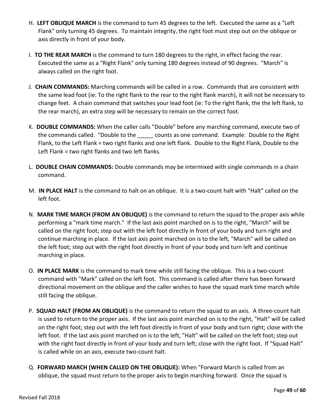- H. **LEFT OBLIQUE MARCH** is the command to turn 45 degrees to the left. Executed the same as a "Left Flank" only turning 45 degrees. To maintain integrity, the right foot must step out on the oblique or axis directly in front of your body.
- I. **TO THE REAR MARCH** is the command to turn 180 degrees to the right, in effect facing the rear. Executed the same as a "Right Flank" only turning 180 degrees instead of 90 degrees. "March" is always called on the right foot.
- J. **CHAIN COMMANDS:** Marching commands will be called in a row. Commands that are consistent with the same lead foot (ie: To the right flank to the rear to the right flank march), it will not be necessary to change feet. A chain command that switches your lead foot (ie: To the right flank, the the left flank, to the rear march), an extra step will be necessary to remain on the correct foot.
- K. **DOUBLE COMMANDS:** When the caller calls "Double" before any marching command, execute two of the commands called. "Double to the counts as one command. Example: Double to the Right Flank, to the Left Flank = two right flanks and one left flank. Double to the Right Flank, Double to the Left Flank = two right flanks and two left flanks.
- L. **DOUBLE CHAIN COMMANDS:** Double commands may be intermixed with single commands in a chain command.
- M. **IN PLACE HALT** is the command to halt on an oblique. It is a two-count halt with "Halt" called on the left foot.
- N. **MARK TIME MARCH (FROM AN OBLIQUE)** is the command to return the squad to the proper axis while performing a "mark time march." If the last axis point marched on is to the right, "March" will be called on the right foot; step out with the left foot directly in front of your body and turn right and continue marching in place. If the last axis point marched on is to the left, "March" will be called on the left foot; step out with the right foot directly in front of your body and turn left and continue marching in place.
- O. **IN PLACE MARK** is the command to mark time while still facing the oblique. This is a two-count command with "Mark" called on the left foot. This command is called after there has been forward directional movement on the oblique and the caller wishes to have the squad mark time march while still facing the oblique.
- P. **SQUAD HALT (FROM AN OBLIQUE)** is the command to return the squad to an axis. A three-count halt is used to return to the proper axis. If the last axis point marched on is to the right, "Halt" will be called on the right foot; step out with the left foot directly in front of your body and turn right; close with the left foot. If the last axis point marched on is to the left, "Halt" will be called on the left foot; step out with the right foot directly in front of your body and turn left; close with the right foot. If "Squad Halt" is called while on an axis, execute two-count halt.
- Q. **FORWARD MARCH (WHEN CALLED ON THE OBLIQUE):** When "Forward March is called from an oblique, the squad must return to the proper axis to begin marching forward. Once the squad is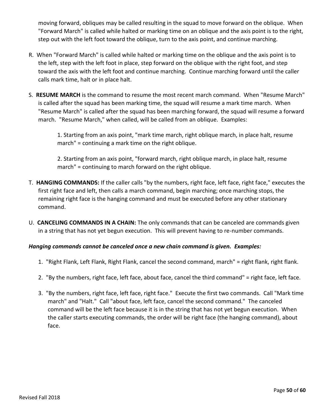moving forward, obliques may be called resulting in the squad to move forward on the oblique. When "Forward March" is called while halted or marking time on an oblique and the axis point is to the right, step out with the left foot toward the oblique, turn to the axis point, and continue marching.

- R. When "Forward March" is called while halted or marking time on the oblique and the axis point is to the left, step with the left foot in place, step forward on the oblique with the right foot, and step toward the axis with the left foot and continue marching. Continue marching forward until the caller calls mark time, halt or in place halt.
- S. **RESUME MARCH** is the command to resume the most recent march command. When "Resume March" is called after the squad has been marking time, the squad will resume a mark time march. When "Resume March" is called after the squad has been marching forward, the squad will resume a forward march. "Resume March," when called, will be called from an oblique. Examples:

1. Starting from an axis point, "mark time march, right oblique march, in place halt, resume march" = continuing a mark time on the right oblique.

2. Starting from an axis point, "forward march, right oblique march, in place halt, resume march" = continuing to march forward on the right oblique.

- T. **HANGING COMMANDS:** If the caller calls "by the numbers, right face, left face, right face," executes the first right face and left, then calls a march command, begin marching; once marching stops, the remaining right face is the hanging command and must be executed before any other stationary command.
- U. **CANCELING COMMANDS IN A CHAIN:** The only commands that can be canceled are commands given in a string that has not yet begun execution. This will prevent having to re-number commands.

#### *Hanging commands cannot be canceled once a new chain command is given. Examples:*

- 1. "Right Flank, Left Flank, Right Flank, cancel the second command, march" = right flank, right flank.
- 2. "By the numbers, right face, left face, about face, cancel the third command" = right face, left face.
- 3. "By the numbers, right face, left face, right face." Execute the first two commands. Call "Mark time march" and "Halt." Call "about face, left face, cancel the second command." The canceled command will be the left face because it is in the string that has not yet begun execution. When the caller starts executing commands, the order will be right face (the hanging command), about face.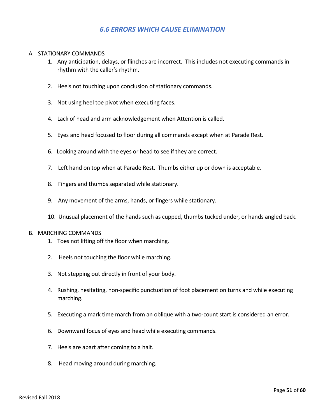## *6.6 ERRORS WHICH CAUSE ELIMINATION*

#### A. STATIONARY COMMANDS

- 1. Any anticipation, delays, or flinches are incorrect. This includes not executing commands in rhythm with the caller's rhythm.
- 2. Heels not touching upon conclusion of stationary commands.
- 3. Not using heel toe pivot when executing faces.
- 4. Lack of head and arm acknowledgement when Attention is called.
- 5. Eyes and head focused to floor during all commands except when at Parade Rest.
- 6. Looking around with the eyes or head to see if they are correct.
- 7. Left hand on top when at Parade Rest. Thumbs either up or down is acceptable.
- 8. Fingers and thumbs separated while stationary.
- 9. Any movement of the arms, hands, or fingers while stationary.
- 10. Unusual placement of the hands such as cupped, thumbs tucked under, or hands angled back.

#### B. MARCHING COMMANDS

- 1. Toes not lifting off the floor when marching.
- 2. Heels not touching the floor while marching.
- 3. Not stepping out directly in front of your body.
- 4. Rushing, hesitating, non-specific punctuation of foot placement on turns and while executing marching.
- 5. Executing a mark time march from an oblique with a two-count start is considered an error.
- 6. Downward focus of eyes and head while executing commands.
- 7. Heels are apart after coming to a halt.
- 8. Head moving around during marching.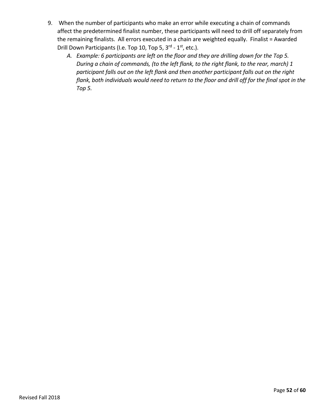- 9. When the number of participants who make an error while executing a chain of commands affect the predetermined finalist number, these participants will need to drill off separately from the remaining finalists. All errors executed in a chain are weighted equally. Finalist = Awarded Drill Down Participants (I.e. Top 10, Top 5, 3<sup>rd</sup> - 1<sup>st</sup>, etc.).
	- *A. Example: 6 participants are left on the floor and they are drilling down for the Top 5. During a chain of commands, (to the left flank, to the right flank, to the rear, march) 1 participant falls out on the left flank and then another participant falls out on the right*  flank, both individuals would need to return to the floor and drill off for the final spot in the *Top 5.*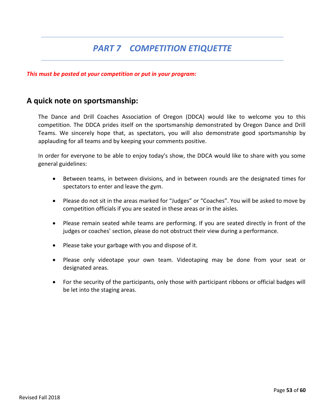# *PART 7 COMPETITION ETIQUETTE*

#### *This must be posted at your competition or put in your program:*

## **A quick note on sportsmanship:**

The Dance and Drill Coaches Association of Oregon (DDCA) would like to welcome you to this competition. The DDCA prides itself on the sportsmanship demonstrated by Oregon Dance and Drill Teams. We sincerely hope that, as spectators, you will also demonstrate good sportsmanship by applauding for all teams and by keeping your comments positive.

In order for everyone to be able to enjoy today's show, the DDCA would like to share with you some general guidelines:

- Between teams, in between divisions, and in between rounds are the designated times for spectators to enter and leave the gym.
- Please do not sit in the areas marked for "Judges" or "Coaches". You will be asked to move by competition officials if you are seated in these areas or in the aisles.
- Please remain seated while teams are performing. If you are seated directly in front of the judges or coaches' section, please do not obstruct their view during a performance.
- Please take your garbage with you and dispose of it.
- Please only videotape your own team. Videotaping may be done from your seat or designated areas.
- For the security of the participants, only those with participant ribbons or official badges will be let into the staging areas.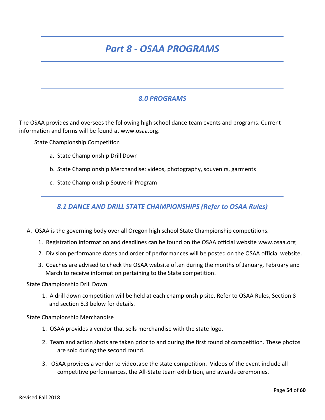# *Part 8 - OSAA PROGRAMS*

## *8.0 PROGRAMS*

The OSAA provides and oversees the following high school dance team events and programs. Current information and forms will be found at www.osaa.org.

State Championship Competition

- a. State Championship Drill Down
- b. State Championship Merchandise: videos, photography, souvenirs, garments
- c. State Championship Souvenir Program

*8.1 DANCE AND DRILL STATE CHAMPIONSHIPS (Refer to OSAA Rules)*

- A. OSAA is the governing body over all Oregon high school State Championship competitions.
	- 1. Registration information and deadlines can be found on the OSAA official website [www.osaa.org](http://www.osaa.org/)
	- 2. Division performance dates and order of performances will be posted on the OSAA official website.
	- 3. Coaches are advised to check the OSAA website often during the months of January, February and March to receive information pertaining to the State competition.

State Championship Drill Down

1. A drill down competition will be held at each championship site. Refer to OSAA Rules, Section 8 and section 8.3 below for details.

State Championship Merchandise

- 1. OSAA provides a vendor that sells merchandise with the state logo.
- 2. Team and action shots are taken prior to and during the first round of competition. These photos are sold during the second round.
- 3. OSAA provides a vendor to videotape the state competition. Videos of the event include all competitive performances, the All-State team exhibition, and awards ceremonies.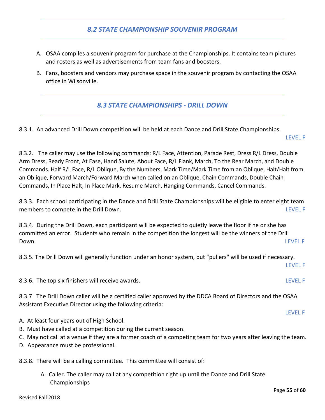## *8.2 STATE CHAMPIONSHIP SOUVENIR PROGRAM*

- A. OSAA compiles a souvenir program for purchase at the Championships. It contains team pictures and rosters as well as advertisements from team fans and boosters.
- B. Fans, boosters and vendors may purchase space in the souvenir program by contacting the OSAA office in Wilsonville.

## *8.3 STATE CHAMPIONSHIPS - DRILL DOWN*

8.3.1. An advanced Drill Down competition will be held at each Dance and Drill State Championships.

LEVEL F

8.3.2. The caller may use the following commands: R/L Face, Attention, Parade Rest, Dress R/L Dress, Double Arm Dress, Ready Front, At Ease, Hand Salute, About Face, R/L Flank, March, To the Rear March, and Double Commands. Half R/L Face, R/L Oblique, By the Numbers, Mark Time/Mark Time from an Oblique, Halt/Halt from an Oblique, Forward March/Forward March when called on an Oblique, Chain Commands, Double Chain Commands, In Place Halt, In Place Mark, Resume March, Hanging Commands, Cancel Commands.

8.3.3. Each school participating in the Dance and Drill State Championships will be eligible to enter eight team members to compete in the Drill Down. The computation of the computation of the computation of the computation of the computation of the computation of the computation of the computation of the computation of the computati

8.3.4. During the Drill Down, each participant will be expected to quietly leave the floor if he or she has committed an error. Students who remain in the competition the longest will be the winners of the Drill Down. LEVEL F

8.3.5. The Drill Down will generally function under an honor system, but "pullers" will be used if necessary.

LEVEL F

LEVEL F

8.3.6. The top six finishers will receive awards. The state of the state of the state of the LEVEL F

8.3.7 The Drill Down caller will be a certified caller approved by the DDCA Board of Directors and the OSAA Assistant Executive Director using the following criteria:

- A. At least four years out of High School.
- B. Must have called at a competition during the current season.
- C. May not call at a venue if they are a former coach of a competing team for two years after leaving the team.
- D. Appearance must be professional.

8.3.8. There will be a calling committee. This committee will consist of:

A. Caller. The caller may call at any competition right up until the Dance and Drill State Championships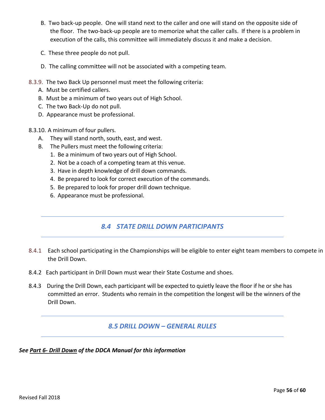- B. Two back-up people. One will stand next to the caller and one will stand on the opposite side of the floor. The two-back-up people are to memorize what the caller calls. If there is a problem in execution of the calls, this committee will immediately discuss it and make a decision.
- C. These three people do not pull.
- D. The calling committee will not be associated with a competing team.
- 8.3.9. The two Back Up personnel must meet the following criteria:
	- A. Must be certified callers.
	- B. Must be a minimum of two years out of High School.
	- C. The two Back-Up do not pull.
	- D. Appearance must be professional.
- 8.3.10. A minimum of four pullers.
	- A. They will stand north, south, east, and west.
	- B. The Pullers must meet the following criteria:
		- 1. Be a minimum of two years out of High School.
		- 2. Not be a coach of a competing team at this venue.
		- 3. Have in depth knowledge of drill down commands.
		- 4. Be prepared to look for correct execution of the commands.
		- 5. Be prepared to look for proper drill down technique.
		- 6. Appearance must be professional.

# *8.4 STATE DRILL DOWN PARTICIPANTS*

- 8.4.1 Each school participating in the Championships will be eligible to enter eight team members to compete in the Drill Down.
- 8.4.2 Each participant in Drill Down must wear their State Costume and shoes.
- 8.4.3 During the Drill Down, each participant will be expected to quietly leave the floor if he or she has committed an error. Students who remain in the competition the longest will be the winners of the Drill Down.

## *8.5 DRILL DOWN – GENERAL RULES*

#### *See Part 6- Drill Down of the DDCA Manual for this information*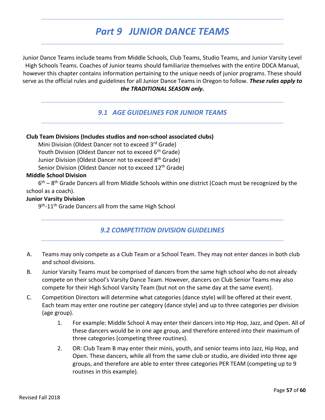# *Part 9 JUNIOR DANCE TEAMS*

Junior Dance Teams include teams from Middle Schools, Club Teams, Studio Teams, and Junior Varsity Level High Schools Teams. Coaches of Junior teams should familiarize themselves with the entire DDCA Manual, however this chapter contains information pertaining to the unique needs of junior programs. These should serve as the official rules and guidelines for all Junior Dance Teams in Oregon to follow. *These rules apply to the TRADITIONAL SEASON only.*

## *9.1 AGE GUIDELINES FOR JUNIOR TEAMS*

#### **Club Team Divisions (Includes studios and non-school associated clubs)**

Mini Division (Oldest Dancer not to exceed 3rd Grade) Youth Division (Oldest Dancer not to exceed 6<sup>th</sup> Grade) Junior Division (Oldest Dancer not to exceed 8<sup>th</sup> Grade) Senior Division (Oldest Dancer not to exceed 12<sup>th</sup> Grade)

#### **Middle School Division**

6<sup>th</sup> – 8<sup>th</sup> Grade Dancers all from Middle Schools within one district (Coach must be recognized by the school as a coach).

#### **Junior Varsity Division**

9<sup>th</sup>-11<sup>th</sup> Grade Dancers all from the same High School

## *9.2 COMPETITION DIVISION GUIDELINES*

- A. Teams may only compete as a Club Team or a School Team. They may not enter dances in both club and school divisions.
- B. Junior Varsity Teams must be comprised of dancers from the same high school who do not already compete on their school's Varsity Dance Team. However, dancers on Club Senior Teams may also compete for their High School Varsity Team (but not on the same day at the same event).
- C. Competition Directors will determine what categories (dance style) will be offered at their event. Each team may enter one routine per category (dance style) and up to three categories per division (age group).
	- 1. For example: Middle School A may enter their dancers into Hip Hop, Jazz, and Open. All of these dancers would be in one age group, and therefore entered into their maximum of three categories (competing three routines).
	- 2. OR: Club Team B may enter their minis, youth, and senior teams into Jazz, Hip Hop, and Open. These dancers, while all from the same club or studio, are divided into three age groups, and therefore are able to enter three categories PER TEAM (competing up to 9 routines in this example).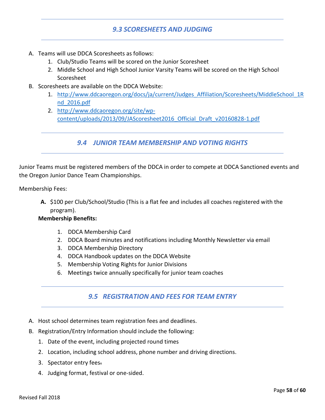## *9.3 SCORESHEETS AND JUDGING*

- A. Teams will use DDCA Scoresheets as follows:
	- 1. Club/Studio Teams will be scored on the Junior Scoresheet
	- 2. Middle School and High School Junior Varsity Teams will be scored on the High School Scoresheet
- B. Scoresheets are available on the DDCA Website:
	- 1. [http://www.ddcaoregon.org/docs/ja/current/Judges\\_Affiliation/Scoresheets/MiddleSchool\\_1R](http://www.ddcaoregon.org/docs/ja/current/Judges_Affiliation/Scoresheets/MiddleSchool_1Rnd_2016.pdf) [nd\\_2016.pdf](http://www.ddcaoregon.org/docs/ja/current/Judges_Affiliation/Scoresheets/MiddleSchool_1Rnd_2016.pdf)
	- 2. [http://www.ddcaoregon.org/site/wp](http://www.ddcaoregon.org/site/wp-content/uploads/2013/09/JAScoresheet2016_Official_Draft_v20160828-1.pdf)[content/uploads/2013/09/JAScoresheet2016\\_Official\\_Draft\\_v20160828-1.pdf](http://www.ddcaoregon.org/site/wp-content/uploads/2013/09/JAScoresheet2016_Official_Draft_v20160828-1.pdf)

## *9.4 JUNIOR TEAM MEMBERSHIP AND VOTING RIGHTS*

Junior Teams must be registered members of the DDCA in order to compete at DDCA Sanctioned events and the Oregon Junior Dance Team Championships.

Membership Fees:

**A.** \$100 per Club/School/Studio (This is a flat fee and includes all coaches registered with the program).

#### **Membership Benefits:**

- 1. DDCA Membership Card
- 2. DDCA Board minutes and notifications including Monthly Newsletter via email
- 3. DDCA Membership Directory
- 4. DDCA Handbook updates on the DDCA Website
- 5. Membership Voting Rights for Junior Divisions
- 6. Meetings twice annually specifically for junior team coaches

## *9.5 REGISTRATION AND FEES FOR TEAM ENTRY*

- A. Host school determines team registration fees and deadlines.
- B. Registration/Entry Information should include the following:
	- 1. Date of the event, including projected round times
	- 2. Location, including school address, phone number and driving directions.
	- 3. Spectator entry fees.
	- 4. Judging format, festival or one-sided.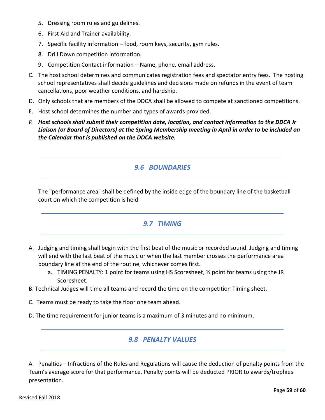- 5. Dressing room rules and guidelines.
- 6. First Aid and Trainer availability.
- 7. Specific facility information food, room keys, security, gym rules.
- 8. Drill Down competition information.
- 9. Competition Contact information Name, phone, email address.
- C. The host school determines and communicates registration fees and spectator entry fees. The hosting school representatives shall decide guidelines and decisions made on refunds in the event of team cancellations, poor weather conditions, and hardship.
- D. Only schools that are members of the DDCA shall be allowed to compete at sanctioned competitions.
- E. Host school determines the number and types of awards provided.
- *F. Host schools shall submit their competition date, location, and contact information to the DDCA Jr Liaison (or Board of Directors) at the Spring Membership meeting in April in order to be included on the Calendar that is published on the DDCA website.*

## *9.6 BOUNDARIES*

The "performance area" shall be defined by the inside edge of the boundary line of the basketball court on which the competition is held.

#### *9.7 TIMING*

- A. Judging and timing shall begin with the first beat of the music or recorded sound. Judging and timing will end with the last beat of the music or when the last member crosses the performance area boundary line at the end of the routine, whichever comes first.
	- a. TIMING PENALTY: 1 point for teams using HS Scoresheet, ½ point for teams using the JR Scoresheet.
- B. Technical Judges will time all teams and record the time on the competition Timing sheet.
- C. Teams must be ready to take the floor one team ahead.
- D. The time requirement for junior teams is a maximum of 3 minutes and no minimum.

## *9.8 PENALTY VALUES*

A. Penalties – Infractions of the Rules and Regulations will cause the deduction of penalty points from the Team's average score for that performance. Penalty points will be deducted PRIOR to awards/trophies presentation.